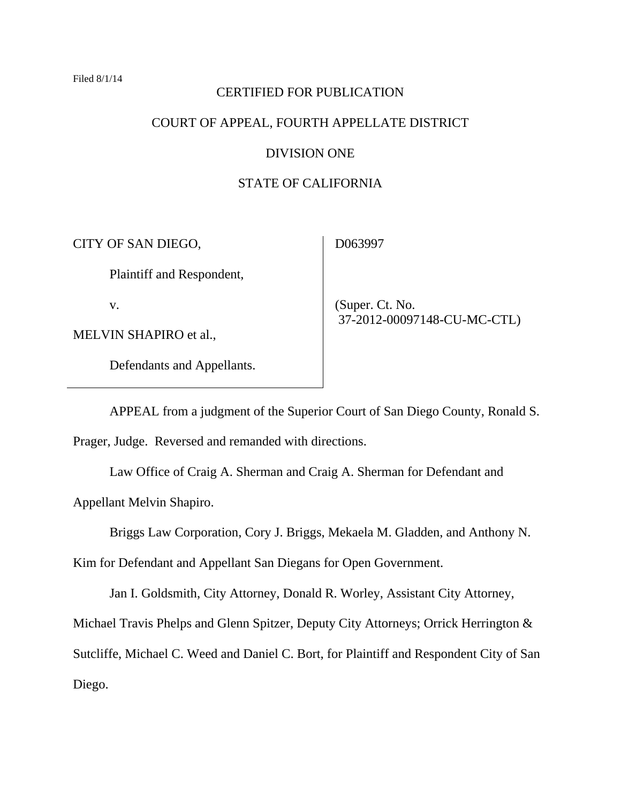#### Filed 8/1/14

## CERTIFIED FOR PUBLICATION

# COURT OF APPEAL, FOURTH APPELLATE DISTRICT

### DIVISION ONE

# STATE OF CALIFORNIA

CITY OF SAN DIEGO,

Plaintiff and Respondent,

v.

MELVIN SHAPIRO et al.,

Defendants and Appellants.

D063997

 (Super. Ct. No. 37-2012-00097148-CU-MC-CTL)

 APPEAL from a judgment of the Superior Court of San Diego County, Ronald S. Prager, Judge. Reversed and remanded with directions.

 Law Office of Craig A. Sherman and Craig A. Sherman for Defendant and Appellant Melvin Shapiro.

Briggs Law Corporation, Cory J. Briggs, Mekaela M. Gladden, and Anthony N.

Kim for Defendant and Appellant San Diegans for Open Government.

Jan I. Goldsmith, City Attorney, Donald R. Worley, Assistant City Attorney,

Michael Travis Phelps and Glenn Spitzer, Deputy City Attorneys; Orrick Herrington &

Sutcliffe, Michael C. Weed and Daniel C. Bort, for Plaintiff and Respondent City of San

Diego.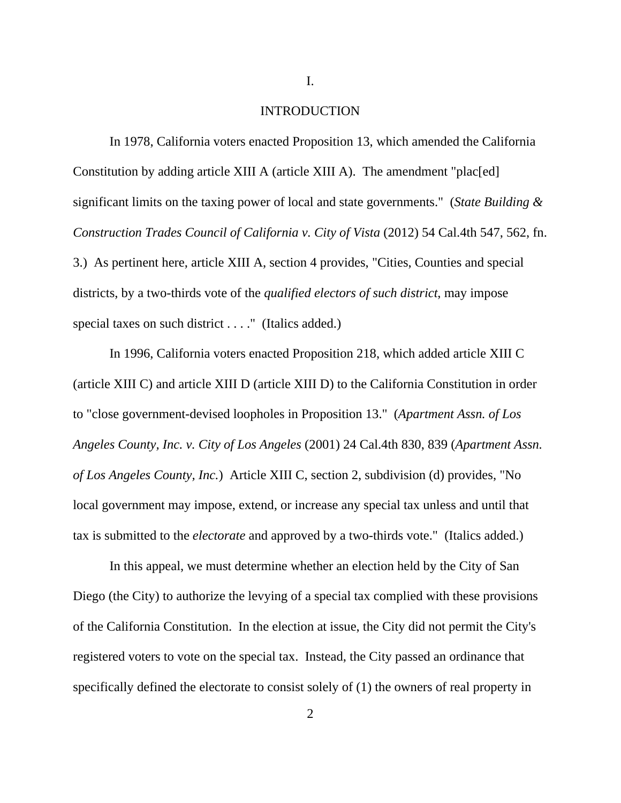I.

### INTRODUCTION

 In 1978, California voters enacted Proposition 13, which amended the California Constitution by adding article XIII A (article XIII A). The amendment "plac[ed] significant limits on the taxing power of local and state governments." (*State Building & Construction Trades Council of California v. City of Vista* (2012) 54 Cal.4th 547, 562, fn. 3.) As pertinent here, article XIII A, section 4 provides, "Cities, Counties and special districts, by a two-thirds vote of the *qualified electors of such district*, may impose special taxes on such district . . . ." (Italics added.)

 In 1996, California voters enacted Proposition 218, which added article XIII C (article XIII C) and article XIII D (article XIII D) to the California Constitution in order to "close government-devised loopholes in Proposition 13." (*Apartment Assn. of Los Angeles County, Inc. v. City of Los Angeles* (2001) 24 Cal.4th 830, 839 (*Apartment Assn. of Los Angeles County, Inc.*) Article XIII C, section 2, subdivision (d) provides, "No local government may impose, extend, or increase any special tax unless and until that tax is submitted to the *electorate* and approved by a two-thirds vote." (Italics added.)

 In this appeal, we must determine whether an election held by the City of San Diego (the City) to authorize the levying of a special tax complied with these provisions of the California Constitution. In the election at issue, the City did not permit the City's registered voters to vote on the special tax. Instead, the City passed an ordinance that specifically defined the electorate to consist solely of (1) the owners of real property in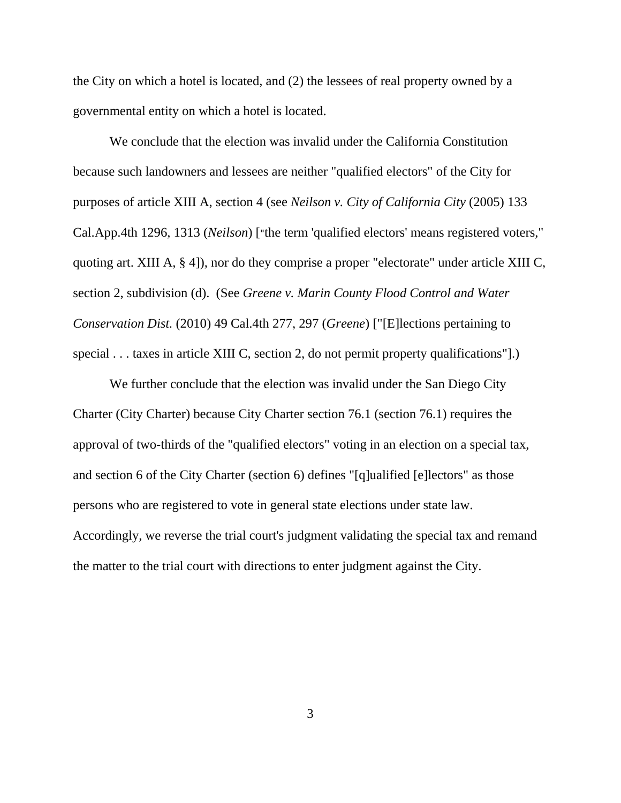the City on which a hotel is located, and (2) the lessees of real property owned by a governmental entity on which a hotel is located.

 We conclude that the election was invalid under the California Constitution because such landowners and lessees are neither "qualified electors" of the City for purposes of article XIII A, section 4 (see *Neilson v. City of California City* (2005) 133 Cal.App.4th 1296, 1313 (*Neilson*) ["the term 'qualified electors' means registered voters," quoting art. XIII A, § 4]), nor do they comprise a proper "electorate" under article XIII C, section 2, subdivision (d). (See *Greene v. Marin County Flood Control and Water Conservation Dist.* (2010) 49 Cal.4th 277, 297 (*Greene*) ["[E]lections pertaining to special . . . taxes in article XIII C, section 2, do not permit property qualifications".

We further conclude that the election was invalid under the San Diego City Charter (City Charter) because City Charter section 76.1 (section 76.1) requires the approval of two-thirds of the "qualified electors" voting in an election on a special tax, and section 6 of the City Charter (section 6) defines "[q]ualified [e]lectors" as those persons who are registered to vote in general state elections under state law. Accordingly, we reverse the trial court's judgment validating the special tax and remand the matter to the trial court with directions to enter judgment against the City.

3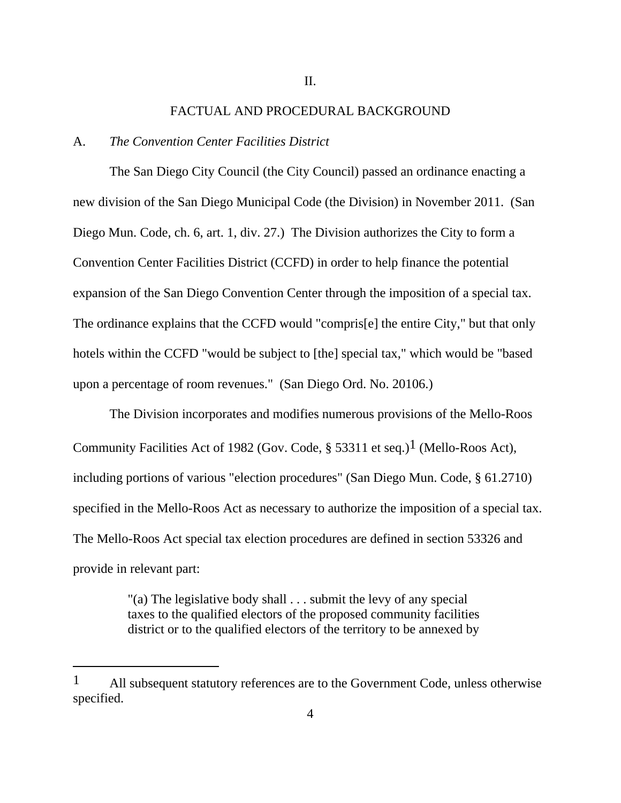#### FACTUAL AND PROCEDURAL BACKGROUND

## A. *The Convention Center Facilities District*

 $\overline{a}$ 

 The San Diego City Council (the City Council) passed an ordinance enacting a new division of the San Diego Municipal Code (the Division) in November 2011. (San Diego Mun. Code, ch. 6, art. 1, div. 27.) The Division authorizes the City to form a Convention Center Facilities District (CCFD) in order to help finance the potential expansion of the San Diego Convention Center through the imposition of a special tax. The ordinance explains that the CCFD would "compris[e] the entire City," but that only hotels within the CCFD "would be subject to [the] special tax," which would be "based upon a percentage of room revenues." (San Diego Ord. No. 20106.)

 The Division incorporates and modifies numerous provisions of the Mello-Roos Community Facilities Act of 1982 (Gov. Code,  $\S$  53311 et seq.)<sup>1</sup> (Mello-Roos Act), including portions of various "election procedures" (San Diego Mun. Code, § 61.2710) specified in the Mello-Roos Act as necessary to authorize the imposition of a special tax. The Mello-Roos Act special tax election procedures are defined in section 53326 and provide in relevant part:

> "(a) The legislative body shall . . . submit the levy of any special taxes to the qualified electors of the proposed community facilities district or to the qualified electors of the territory to be annexed by

<sup>1</sup> All subsequent statutory references are to the Government Code, unless otherwise specified.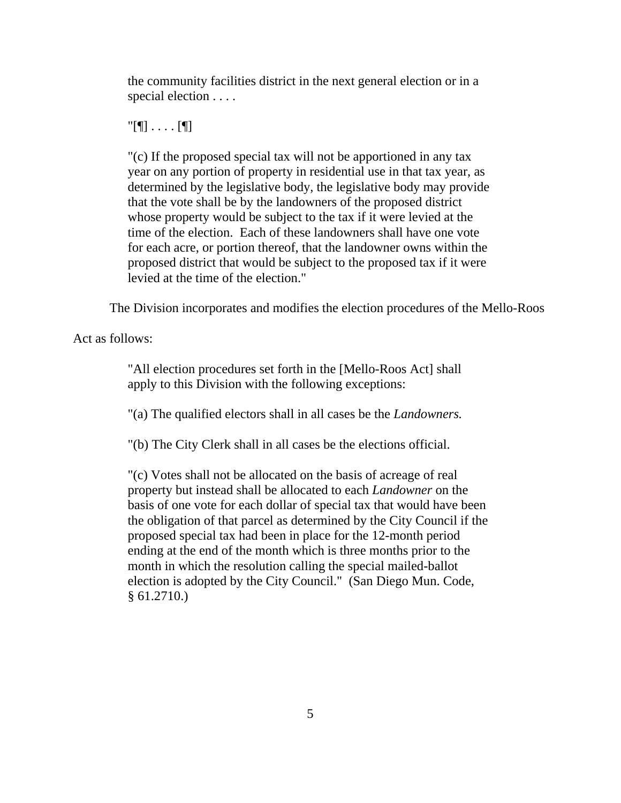the community facilities district in the next general election or in a special election . . . .

 $\Gamma$ [¶]  $\ldots$  . [¶]

"(c) If the proposed special tax will not be apportioned in any tax year on any portion of property in residential use in that tax year, as determined by the legislative body, the legislative body may provide that the vote shall be by the landowners of the proposed district whose property would be subject to the tax if it were levied at the time of the election. Each of these landowners shall have one vote for each acre, or portion thereof, that the landowner owns within the proposed district that would be subject to the proposed tax if it were levied at the time of the election."

The Division incorporates and modifies the election procedures of the Mello-Roos

Act as follows:

"All election procedures set forth in the [Mello-Roos Act] shall apply to this Division with the following exceptions:

"(a) The qualified electors shall in all cases be the *Landowners.* 

"(b) The City Clerk shall in all cases be the elections official.

"(c) Votes shall not be allocated on the basis of acreage of real property but instead shall be allocated to each *Landowner* on the basis of one vote for each dollar of special tax that would have been the obligation of that parcel as determined by the City Council if the proposed special tax had been in place for the 12-month period ending at the end of the month which is three months prior to the month in which the resolution calling the special mailed-ballot election is adopted by the City Council." (San Diego Mun. Code, § 61.2710.)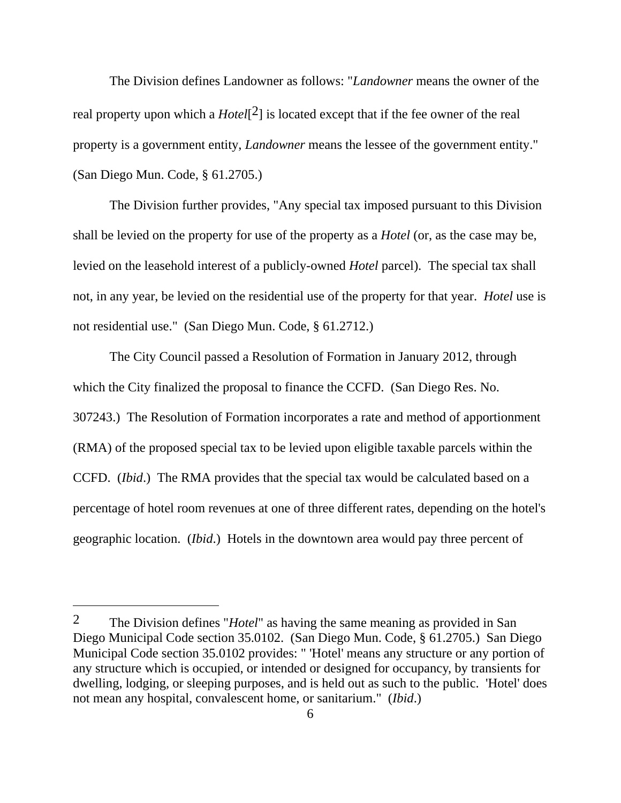The Division defines Landowner as follows: "*Landowner* means the owner of the real property upon which a *Hotel*[2] is located except that if the fee owner of the real property is a government entity, *Landowner* means the lessee of the government entity." (San Diego Mun. Code, § 61.2705.)

 The Division further provides, "Any special tax imposed pursuant to this Division shall be levied on the property for use of the property as a *Hotel* (or, as the case may be, levied on the leasehold interest of a publicly-owned *Hotel* parcel). The special tax shall not, in any year, be levied on the residential use of the property for that year. *Hotel* use is not residential use." (San Diego Mun. Code, § 61.2712.)

 The City Council passed a Resolution of Formation in January 2012, through which the City finalized the proposal to finance the CCFD. (San Diego Res. No. 307243.) The Resolution of Formation incorporates a rate and method of apportionment (RMA) of the proposed special tax to be levied upon eligible taxable parcels within the CCFD. (*Ibid*.) The RMA provides that the special tax would be calculated based on a percentage of hotel room revenues at one of three different rates, depending on the hotel's geographic location. (*Ibid*.) Hotels in the downtown area would pay three percent of

<sup>2</sup> The Division defines "*Hotel*" as having the same meaning as provided in San Diego Municipal Code section 35.0102. (San Diego Mun. Code, § 61.2705.) San Diego Municipal Code section 35.0102 provides: " 'Hotel' means any structure or any portion of any structure which is occupied, or intended or designed for occupancy, by transients for dwelling, lodging, or sleeping purposes, and is held out as such to the public. 'Hotel' does not mean any hospital, convalescent home, or sanitarium." (*Ibid*.)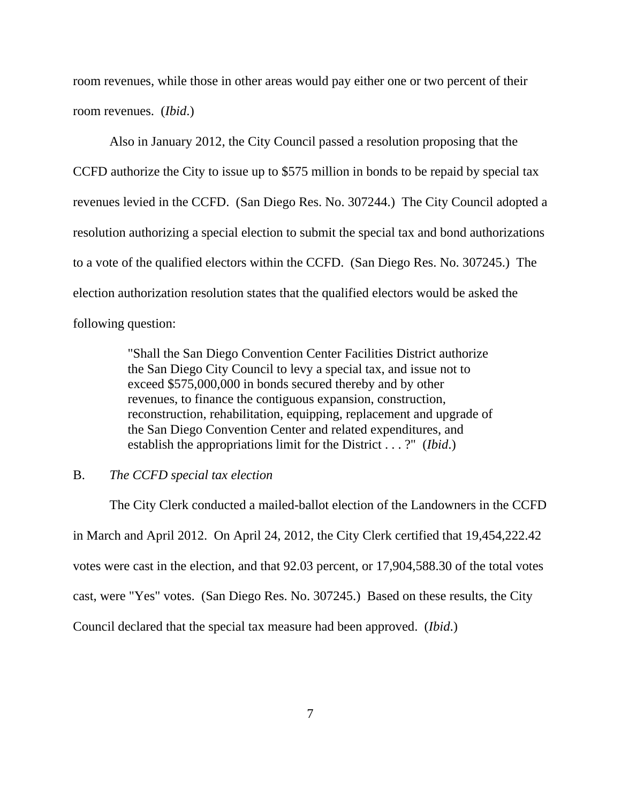room revenues, while those in other areas would pay either one or two percent of their room revenues. (*Ibid*.)

 Also in January 2012, the City Council passed a resolution proposing that the CCFD authorize the City to issue up to \$575 million in bonds to be repaid by special tax revenues levied in the CCFD. (San Diego Res. No. 307244.) The City Council adopted a resolution authorizing a special election to submit the special tax and bond authorizations to a vote of the qualified electors within the CCFD. (San Diego Res. No. 307245.) The election authorization resolution states that the qualified electors would be asked the following question:

> "Shall the San Diego Convention Center Facilities District authorize the San Diego City Council to levy a special tax, and issue not to exceed \$575,000,000 in bonds secured thereby and by other revenues, to finance the contiguous expansion, construction, reconstruction, rehabilitation, equipping, replacement and upgrade of the San Diego Convention Center and related expenditures, and establish the appropriations limit for the District . . . ?" (*Ibid*.)

### B. *The CCFD special tax election*

 The City Clerk conducted a mailed-ballot election of the Landowners in the CCFD in March and April 2012. On April 24, 2012, the City Clerk certified that 19,454,222.42 votes were cast in the election, and that 92.03 percent, or 17,904,588.30 of the total votes cast, were "Yes" votes. (San Diego Res. No. 307245.) Based on these results, the City Council declared that the special tax measure had been approved. (*Ibid*.)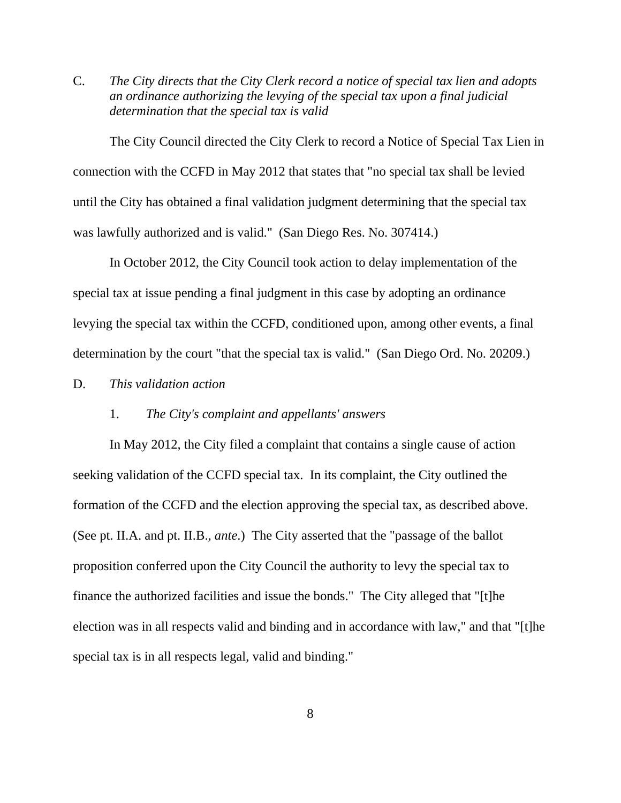C. *The City directs that the City Clerk record a notice of special tax lien and adopts an ordinance authorizing the levying of the special tax upon a final judicial determination that the special tax is valid* 

 The City Council directed the City Clerk to record a Notice of Special Tax Lien in connection with the CCFD in May 2012 that states that "no special tax shall be levied until the City has obtained a final validation judgment determining that the special tax was lawfully authorized and is valid." (San Diego Res. No. 307414.)

 In October 2012, the City Council took action to delay implementation of the special tax at issue pending a final judgment in this case by adopting an ordinance levying the special tax within the CCFD, conditioned upon, among other events, a final determination by the court "that the special tax is valid." (San Diego Ord. No. 20209.)

D. *This validation action*

## 1. *The City's complaint and appellants' answers*

 In May 2012, the City filed a complaint that contains a single cause of action seeking validation of the CCFD special tax. In its complaint, the City outlined the formation of the CCFD and the election approving the special tax, as described above. (See pt. II.A. and pt. II.B., *ante*.) The City asserted that the "passage of the ballot proposition conferred upon the City Council the authority to levy the special tax to finance the authorized facilities and issue the bonds." The City alleged that "[t]he election was in all respects valid and binding and in accordance with law," and that "[t]he special tax is in all respects legal, valid and binding."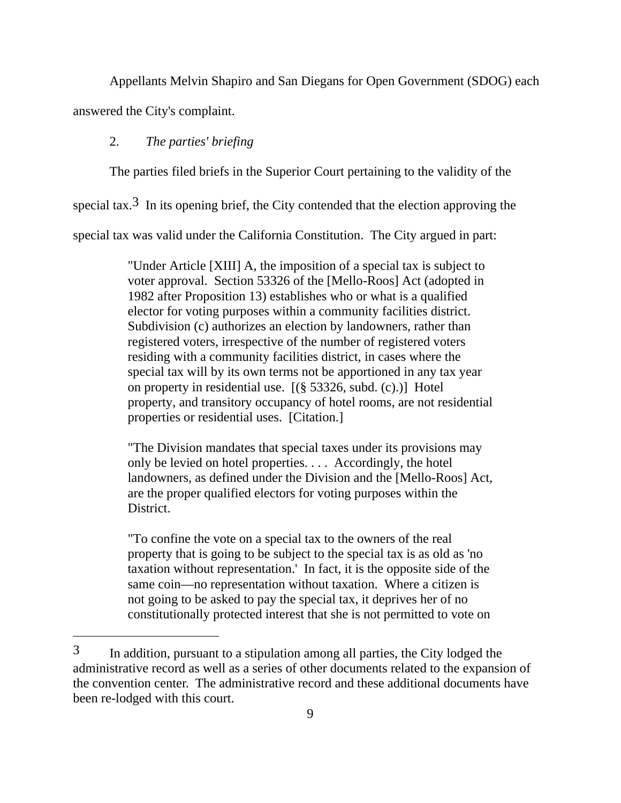Appellants Melvin Shapiro and San Diegans for Open Government (SDOG) each answered the City's complaint.

# 2. *The parties' briefing*

The parties filed briefs in the Superior Court pertaining to the validity of the

special tax.<sup>3</sup> In its opening brief, the City contended that the election approving the

special tax was valid under the California Constitution. The City argued in part:

"Under Article [XIII] A, the imposition of a special tax is subject to voter approval. Section 53326 of the [Mello-Roos] Act (adopted in 1982 after Proposition 13) establishes who or what is a qualified elector for voting purposes within a community facilities district. Subdivision (c) authorizes an election by landowners, rather than registered voters, irrespective of the number of registered voters residing with a community facilities district, in cases where the special tax will by its own terms not be apportioned in any tax year on property in residential use. [(§ 53326, subd. (c).)] Hotel property, and transitory occupancy of hotel rooms, are not residential properties or residential uses. [Citation.]

"The Division mandates that special taxes under its provisions may only be levied on hotel properties. . . . Accordingly, the hotel landowners, as defined under the Division and the [Mello-Roos] Act, are the proper qualified electors for voting purposes within the District.

"To confine the vote on a special tax to the owners of the real property that is going to be subject to the special tax is as old as 'no taxation without representation.' In fact, it is the opposite side of the same coin—no representation without taxation. Where a citizen is not going to be asked to pay the special tax, it deprives her of no constitutionally protected interest that she is not permitted to vote on

<sup>3</sup> In addition, pursuant to a stipulation among all parties, the City lodged the administrative record as well as a series of other documents related to the expansion of the convention center. The administrative record and these additional documents have been re-lodged with this court.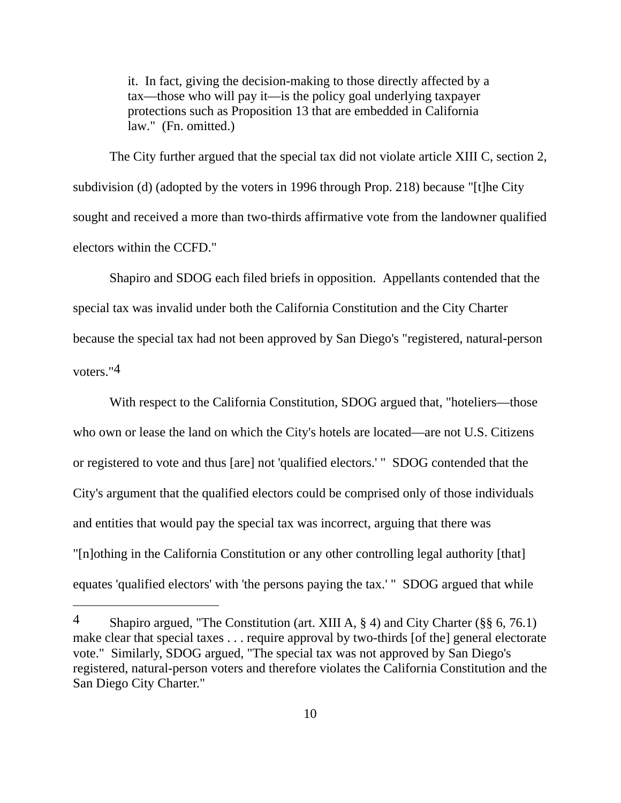it. In fact, giving the decision-making to those directly affected by a tax—those who will pay it—is the policy goal underlying taxpayer protections such as Proposition 13 that are embedded in California law." (Fn. omitted.)

 The City further argued that the special tax did not violate article XIII C, section 2, subdivision (d) (adopted by the voters in 1996 through Prop. 218) because "[t]he City sought and received a more than two-thirds affirmative vote from the landowner qualified electors within the CCFD."

 Shapiro and SDOG each filed briefs in opposition. Appellants contended that the special tax was invalid under both the California Constitution and the City Charter because the special tax had not been approved by San Diego's "registered, natural-person voters."4

 With respect to the California Constitution, SDOG argued that, "hoteliers—those who own or lease the land on which the City's hotels are located—are not U.S. Citizens or registered to vote and thus [are] not 'qualified electors.' " SDOG contended that the City's argument that the qualified electors could be comprised only of those individuals and entities that would pay the special tax was incorrect, arguing that there was "[n]othing in the California Constitution or any other controlling legal authority [that] equates 'qualified electors' with 'the persons paying the tax.' " SDOG argued that while

<sup>4</sup> Shapiro argued, "The Constitution (art. XIII A, § 4) and City Charter (§§ 6, 76.1) make clear that special taxes . . . require approval by two-thirds [of the] general electorate vote." Similarly, SDOG argued, "The special tax was not approved by San Diego's registered, natural-person voters and therefore violates the California Constitution and the San Diego City Charter."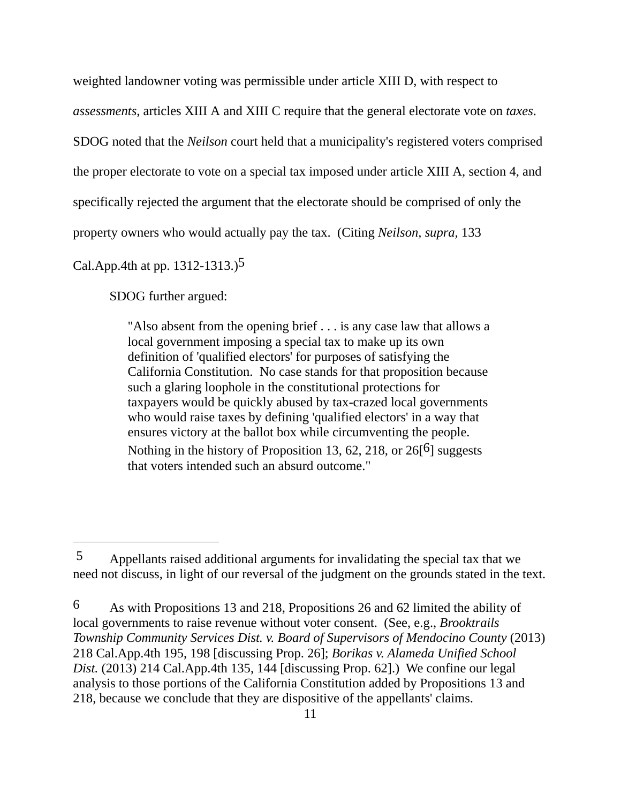weighted landowner voting was permissible under article XIII D, with respect to

*assessments*, articles XIII A and XIII C require that the general electorate vote on *taxes*.

SDOG noted that the *Neilson* court held that a municipality's registered voters comprised

the proper electorate to vote on a special tax imposed under article XIII A, section 4, and

specifically rejected the argument that the electorate should be comprised of only the

property owners who would actually pay the tax. (Citing *Neilson, supra,* 133

Cal.App.4th at pp. 1312-1313.)5

 $\overline{a}$ 

SDOG further argued:

"Also absent from the opening brief . . . is any case law that allows a local government imposing a special tax to make up its own definition of 'qualified electors' for purposes of satisfying the California Constitution. No case stands for that proposition because such a glaring loophole in the constitutional protections for taxpayers would be quickly abused by tax-crazed local governments who would raise taxes by defining 'qualified electors' in a way that ensures victory at the ballot box while circumventing the people. Nothing in the history of Proposition 13, 62, 218, or  $26[6]$  suggests that voters intended such an absurd outcome."

<sup>5</sup> Appellants raised additional arguments for invalidating the special tax that we need not discuss, in light of our reversal of the judgment on the grounds stated in the text.

<sup>6</sup> As with Propositions 13 and 218, Propositions 26 and 62 limited the ability of local governments to raise revenue without voter consent. (See, e.g., *Brooktrails Township Community Services Dist. v. Board of Supervisors of Mendocino County* (2013) 218 Cal.App.4th 195, 198 [discussing Prop. 26]; *Borikas v. Alameda Unified School Dist.* (2013) 214 Cal.App.4th 135, 144 [discussing Prop. 62].) We confine our legal analysis to those portions of the California Constitution added by Propositions 13 and 218, because we conclude that they are dispositive of the appellants' claims.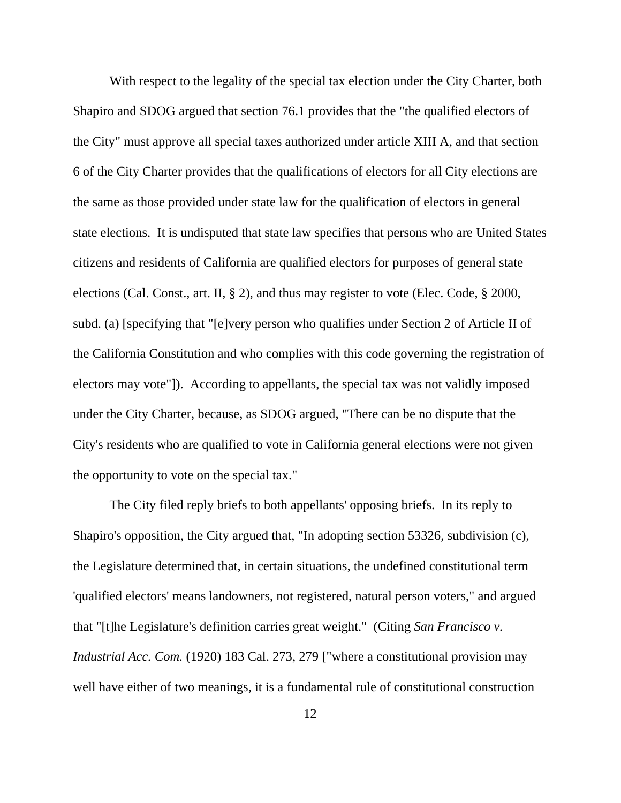With respect to the legality of the special tax election under the City Charter, both Shapiro and SDOG argued that section 76.1 provides that the "the qualified electors of the City" must approve all special taxes authorized under article XIII A, and that section 6 of the City Charter provides that the qualifications of electors for all City elections are the same as those provided under state law for the qualification of electors in general state elections. It is undisputed that state law specifies that persons who are United States citizens and residents of California are qualified electors for purposes of general state elections (Cal. Const., art. II, § 2), and thus may register to vote (Elec. Code, § 2000, subd. (a) [specifying that "[e]very person who qualifies under Section 2 of Article II of the California Constitution and who complies with this code governing the registration of electors may vote"]). According to appellants, the special tax was not validly imposed under the City Charter, because, as SDOG argued, "There can be no dispute that the City's residents who are qualified to vote in California general elections were not given the opportunity to vote on the special tax."

The City filed reply briefs to both appellants' opposing briefs. In its reply to Shapiro's opposition, the City argued that, "In adopting section 53326, subdivision (c), the Legislature determined that, in certain situations, the undefined constitutional term 'qualified electors' means landowners, not registered, natural person voters," and argued that "[t]he Legislature's definition carries great weight." (Citing *San Francisco v. Industrial Acc. Com.* (1920) 183 Cal. 273, 279 ["where a constitutional provision may well have either of two meanings, it is a fundamental rule of constitutional construction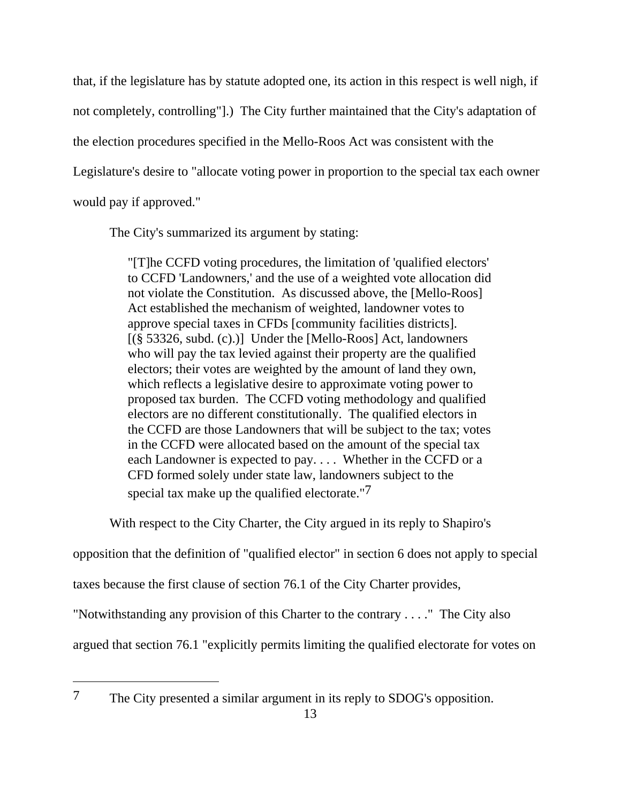that, if the legislature has by statute adopted one, its action in this respect is well nigh, if not completely, controlling"].) The City further maintained that the City's adaptation of the election procedures specified in the Mello-Roos Act was consistent with the Legislature's desire to "allocate voting power in proportion to the special tax each owner would pay if approved."

The City's summarized its argument by stating:

"[T]he CCFD voting procedures, the limitation of 'qualified electors' to CCFD 'Landowners,' and the use of a weighted vote allocation did not violate the Constitution. As discussed above, the [Mello-Roos] Act established the mechanism of weighted, landowner votes to approve special taxes in CFDs [community facilities districts].  $[(\S 53326, \text{subd. (c).})]$  Under the [Mello-Roos] Act, landowners who will pay the tax levied against their property are the qualified electors; their votes are weighted by the amount of land they own, which reflects a legislative desire to approximate voting power to proposed tax burden. The CCFD voting methodology and qualified electors are no different constitutionally. The qualified electors in the CCFD are those Landowners that will be subject to the tax; votes in the CCFD were allocated based on the amount of the special tax each Landowner is expected to pay. . . . Whether in the CCFD or a CFD formed solely under state law, landowners subject to the special tax make up the qualified electorate."7

With respect to the City Charter, the City argued in its reply to Shapiro's

opposition that the definition of "qualified elector" in section 6 does not apply to special

taxes because the first clause of section 76.1 of the City Charter provides,

"Notwithstanding any provision of this Charter to the contrary . . . ." The City also

argued that section 76.1 "explicitly permits limiting the qualified electorate for votes on

<sup>7</sup> The City presented a similar argument in its reply to SDOG's opposition.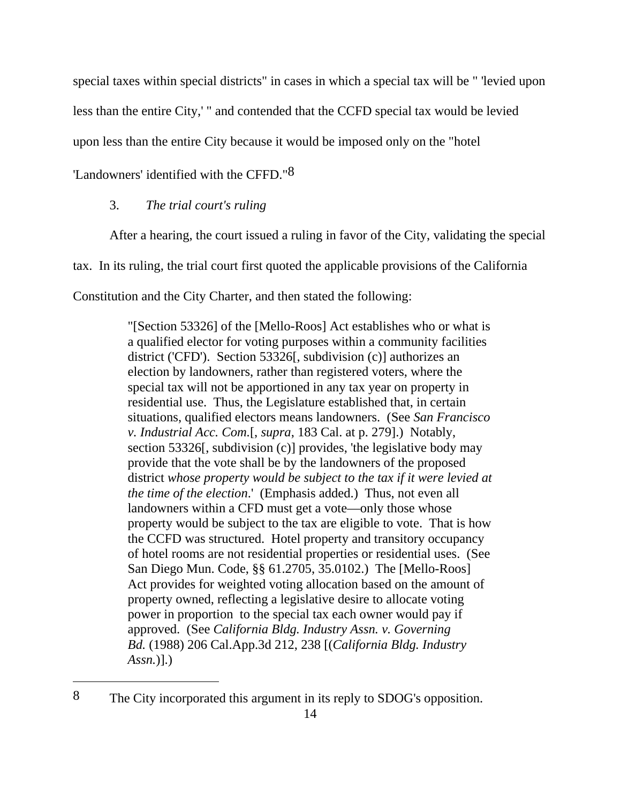special taxes within special districts" in cases in which a special tax will be " 'levied upon

less than the entire City,' " and contended that the CCFD special tax would be levied

upon less than the entire City because it would be imposed only on the "hotel

'Landowners' identified with the CFFD."8

# 3. *The trial court's ruling*

After a hearing, the court issued a ruling in favor of the City, validating the special

tax. In its ruling, the trial court first quoted the applicable provisions of the California

Constitution and the City Charter, and then stated the following:

"[Section 53326] of the [Mello-Roos] Act establishes who or what is a qualified elector for voting purposes within a community facilities district ('CFD'). Section 53326[, subdivision (c)] authorizes an election by landowners, rather than registered voters, where the special tax will not be apportioned in any tax year on property in residential use. Thus, the Legislature established that, in certain situations, qualified electors means landowners. (See *San Francisco v. Industrial Acc. Com.*[, *supra*, 183 Cal. at p. 279].) Notably, section 53326[, subdivision (c)] provides, 'the legislative body may provide that the vote shall be by the landowners of the proposed district *whose property would be subject to the tax if it were levied at the time of the election*.' (Emphasis added.) Thus, not even all landowners within a CFD must get a vote—only those whose property would be subject to the tax are eligible to vote. That is how the CCFD was structured. Hotel property and transitory occupancy of hotel rooms are not residential properties or residential uses. (See San Diego Mun. Code, §§ 61.2705, 35.0102.) The [Mello-Roos] Act provides for weighted voting allocation based on the amount of property owned, reflecting a legislative desire to allocate voting power in proportion to the special tax each owner would pay if approved. (See *California Bldg. Industry Assn. v. Governing Bd.* (1988) 206 Cal.App.3d 212, 238 [(*California Bldg. Industry Assn.*)].)

<sup>8</sup> The City incorporated this argument in its reply to SDOG's opposition.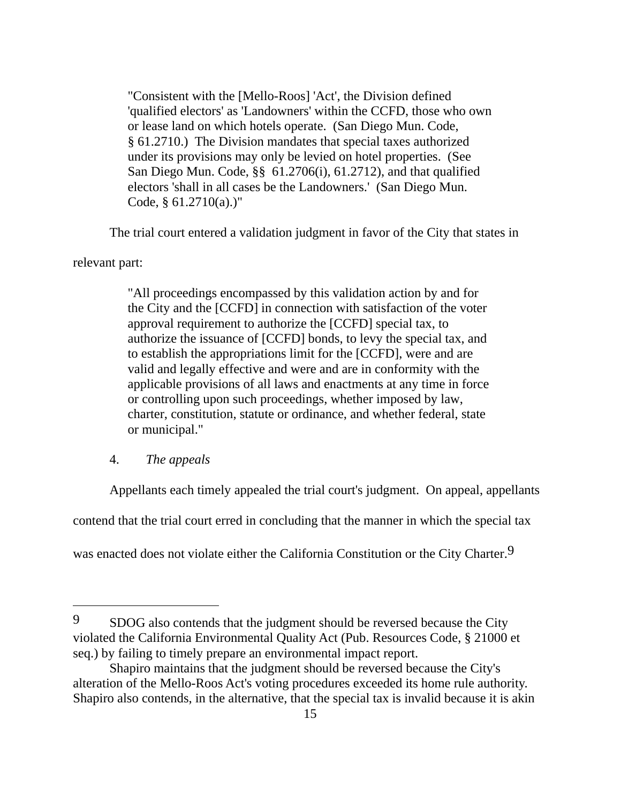"Consistent with the [Mello-Roos] 'Act', the Division defined 'qualified electors' as 'Landowners' within the CCFD, those who own or lease land on which hotels operate. (San Diego Mun. Code, § 61.2710.) The Division mandates that special taxes authorized under its provisions may only be levied on hotel properties. (See San Diego Mun. Code, §§ 61.2706(i), 61.2712), and that qualified electors 'shall in all cases be the Landowners.' (San Diego Mun. Code,  $§ 61.2710(a).$ )"

The trial court entered a validation judgment in favor of the City that states in

relevant part:

"All proceedings encompassed by this validation action by and for the City and the [CCFD] in connection with satisfaction of the voter approval requirement to authorize the [CCFD] special tax, to authorize the issuance of [CCFD] bonds, to levy the special tax, and to establish the appropriations limit for the [CCFD], were and are valid and legally effective and were and are in conformity with the applicable provisions of all laws and enactments at any time in force or controlling upon such proceedings, whether imposed by law, charter, constitution, statute or ordinance, and whether federal, state or municipal."

# 4. *The appeals*

Appellants each timely appealed the trial court's judgment. On appeal, appellants

contend that the trial court erred in concluding that the manner in which the special tax

was enacted does not violate either the California Constitution or the City Charter.<sup>9</sup>

<sup>9</sup> SDOG also contends that the judgment should be reversed because the City violated the California Environmental Quality Act (Pub. Resources Code, § 21000 et seq.) by failing to timely prepare an environmental impact report.

Shapiro maintains that the judgment should be reversed because the City's alteration of the Mello-Roos Act's voting procedures exceeded its home rule authority. Shapiro also contends, in the alternative, that the special tax is invalid because it is akin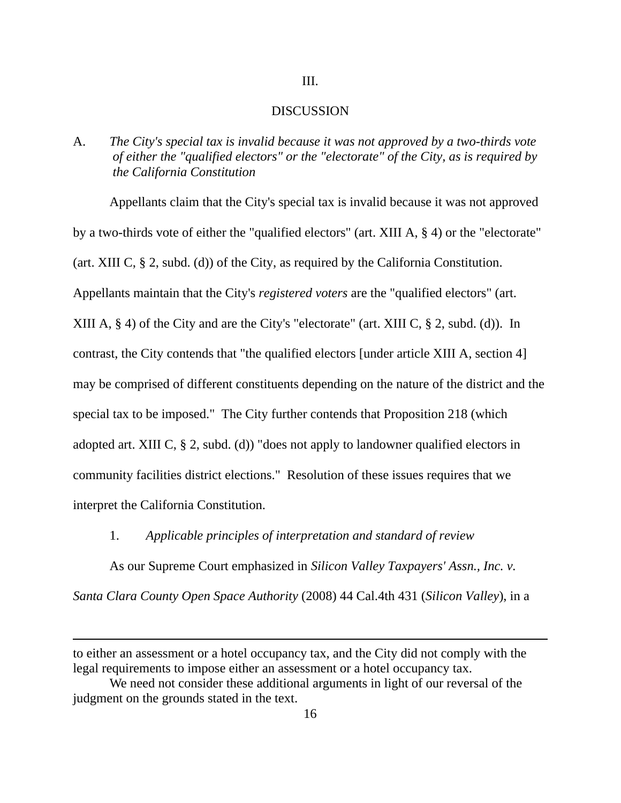### III.

### DISCUSSION

A. *The City's special tax is invalid because it was not approved by a two-thirds vote of either the "qualified electors" or the "electorate" of the City, as is required by the California Constitution* 

 Appellants claim that the City's special tax is invalid because it was not approved by a two-thirds vote of either the "qualified electors" (art. XIII A, § 4) or the "electorate" (art. XIII C, § 2, subd. (d)) of the City, as required by the California Constitution. Appellants maintain that the City's *registered voters* are the "qualified electors" (art. XIII A, § 4) of the City and are the City's "electorate" (art. XIII C, § 2, subd. (d)). In contrast, the City contends that "the qualified electors [under article XIII A, section 4] may be comprised of different constituents depending on the nature of the district and the special tax to be imposed." The City further contends that Proposition 218 (which adopted art. XIII C, § 2, subd. (d)) "does not apply to landowner qualified electors in community facilities district elections." Resolution of these issues requires that we interpret the California Constitution.

1. *Applicable principles of interpretation and standard of review*

 As our Supreme Court emphasized in *Silicon Valley Taxpayers' Assn., Inc. v. Santa Clara County Open Space Authority* (2008) 44 Cal.4th 431 (*Silicon Valley*), in a

to either an assessment or a hotel occupancy tax, and the City did not comply with the legal requirements to impose either an assessment or a hotel occupancy tax.

We need not consider these additional arguments in light of our reversal of the judgment on the grounds stated in the text.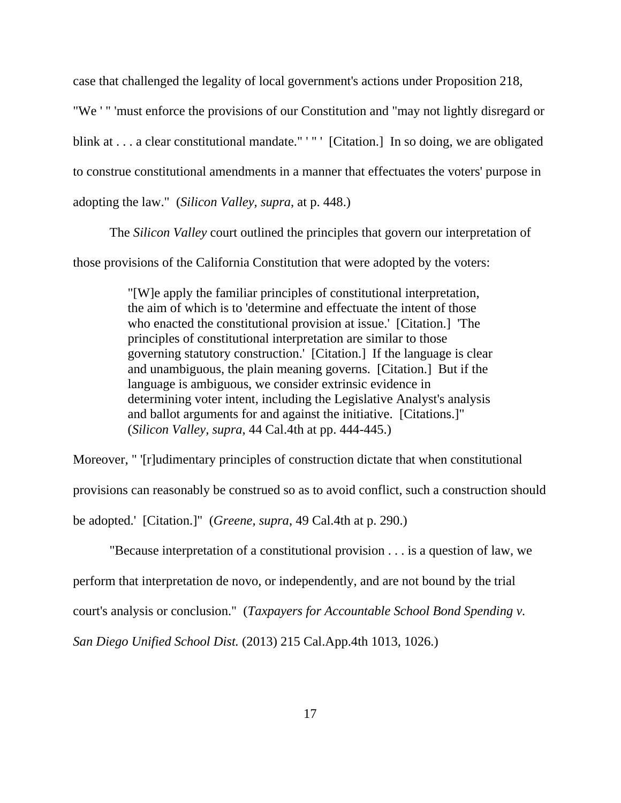case that challenged the legality of local government's actions under Proposition 218,

"We ' " 'must enforce the provisions of our Constitution and "may not lightly disregard or blink at ... a clear constitutional mandate." '" ' [Citation.] In so doing, we are obligated to construe constitutional amendments in a manner that effectuates the voters' purpose in adopting the law." (*Silicon Valley, supra*, at p. 448.)

The *Silicon Valley* court outlined the principles that govern our interpretation of

those provisions of the California Constitution that were adopted by the voters:

"[W]e apply the familiar principles of constitutional interpretation, the aim of which is to 'determine and effectuate the intent of those who enacted the constitutional provision at issue.' [Citation.] 'The principles of constitutional interpretation are similar to those governing statutory construction.' [Citation.] If the language is clear and unambiguous, the plain meaning governs. [Citation.] But if the language is ambiguous, we consider extrinsic evidence in determining voter intent, including the Legislative Analyst's analysis and ballot arguments for and against the initiative. [Citations.]" (*Silicon Valley, supra*, 44 Cal.4th at pp. 444-445.)

Moreover, " '[r]udimentary principles of construction dictate that when constitutional provisions can reasonably be construed so as to avoid conflict, such a construction should be adopted.' [Citation.]" (*Greene, supra*, 49 Cal.4th at p. 290.)

"Because interpretation of a constitutional provision . . . is a question of law, we

perform that interpretation de novo, or independently, and are not bound by the trial

court's analysis or conclusion." (*Taxpayers for Accountable School Bond Spending v.* 

*San Diego Unified School Dist.* (2013) 215 Cal.App.4th 1013, 1026.)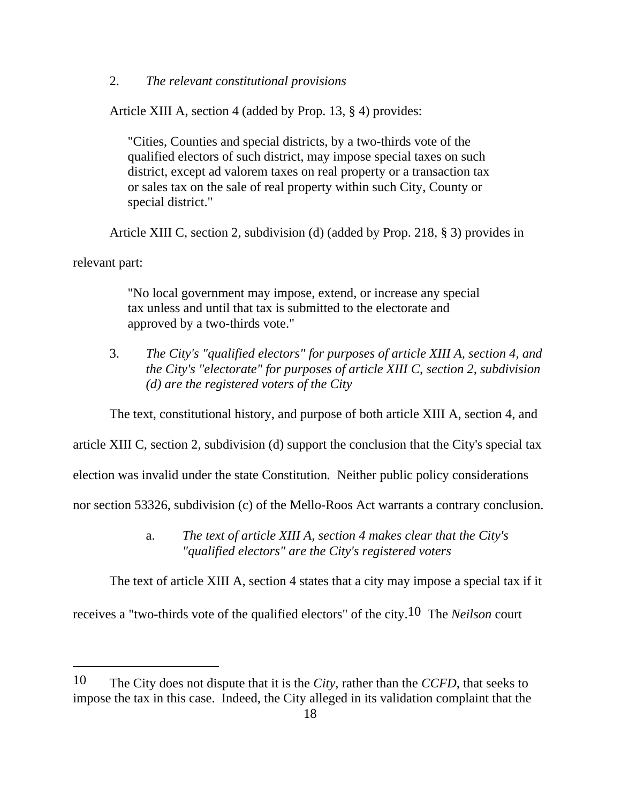# 2. *The relevant constitutional provisions*

Article XIII A, section 4 (added by Prop. 13, § 4) provides:

"Cities, Counties and special districts, by a two-thirds vote of the qualified electors of such district, may impose special taxes on such district, except ad valorem taxes on real property or a transaction tax or sales tax on the sale of real property within such City, County or special district."

Article XIII C, section 2, subdivision (d) (added by Prop. 218, § 3) provides in

relevant part:

 $\overline{a}$ 

"No local government may impose, extend, or increase any special tax unless and until that tax is submitted to the electorate and approved by a two-thirds vote."

 3. *The City's "qualified electors" for purposes of article XIII A, section 4, and the City's "electorate" for purposes of article XIII C, section 2, subdivision (d) are the registered voters of the City* 

The text, constitutional history, and purpose of both article XIII A, section 4, and

article XIII C, section 2, subdivision (d) support the conclusion that the City's special tax

election was invalid under the state Constitution*.* Neither public policy considerations

nor section 53326, subdivision (c) of the Mello-Roos Act warrants a contrary conclusion.

 a. *The text of article XIII A, section 4 makes clear that the City's "qualified electors" are the City's registered voters* 

The text of article XIII A, section 4 states that a city may impose a special tax if it

receives a "two-thirds vote of the qualified electors" of the city.10 The *Neilson* court

<sup>10</sup> The City does not dispute that it is the *City*, rather than the *CCFD*, that seeks to impose the tax in this case. Indeed, the City alleged in its validation complaint that the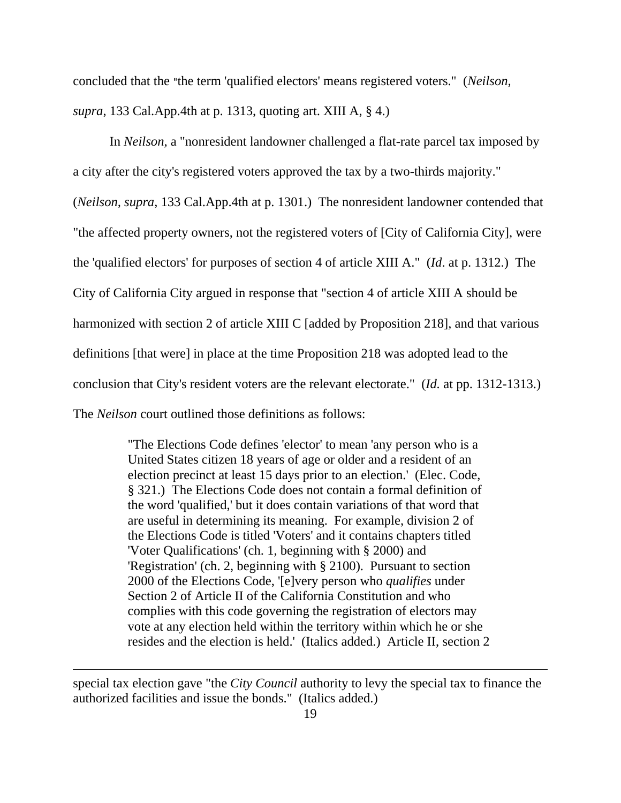concluded that the "the term 'qualified electors' means registered voters." (*Neilson, supra*, 133 Cal.App.4th at p. 1313, quoting art. XIII A, § 4.)

 In *Neilson*, a "nonresident landowner challenged a flat-rate parcel tax imposed by a city after the city's registered voters approved the tax by a two-thirds majority." (*Neilson, supra*, 133 Cal.App.4th at p. 1301.) The nonresident landowner contended that "the affected property owners, not the registered voters of [City of California City], were the 'qualified electors' for purposes of section 4 of article XIII A." (*Id*. at p. 1312.) The City of California City argued in response that "section 4 of article XIII A should be harmonized with section 2 of article XIII C [added by Proposition 218], and that various definitions [that were] in place at the time Proposition 218 was adopted lead to the conclusion that City's resident voters are the relevant electorate." (*Id.* at pp. 1312-1313.) The *Neilson* court outlined those definitions as follows:

> "The Elections Code defines 'elector' to mean 'any person who is a United States citizen 18 years of age or older and a resident of an election precinct at least 15 days prior to an election.' (Elec. Code, § 321.) The Elections Code does not contain a formal definition of the word 'qualified,' but it does contain variations of that word that are useful in determining its meaning. For example, division 2 of the Elections Code is titled 'Voters' and it contains chapters titled 'Voter Qualifications' (ch. 1, beginning with § 2000) and 'Registration' (ch. 2, beginning with § 2100). Pursuant to section 2000 of the Elections Code, '[e]very person who *qualifies* under Section 2 of Article II of the California Constitution and who complies with this code governing the registration of electors may vote at any election held within the territory within which he or she resides and the election is held.' (Italics added.) Article II, section 2

special tax election gave "the *City Council* authority to levy the special tax to finance the authorized facilities and issue the bonds." (Italics added.)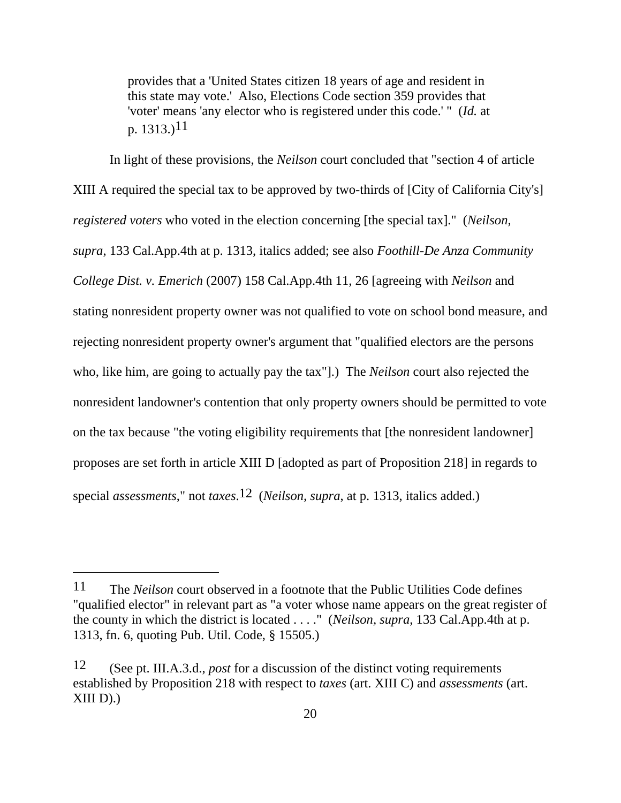provides that a 'United States citizen 18 years of age and resident in this state may vote.' Also, Elections Code section 359 provides that 'voter' means 'any elector who is registered under this code.' " (*Id.* at p.  $1313.$ )<sup>11</sup>

 In light of these provisions, the *Neilson* court concluded that "section 4 of article XIII A required the special tax to be approved by two-thirds of [City of California City's] *registered voters* who voted in the election concerning [the special tax]." (*Neilson, supra*, 133 Cal.App.4th at p. 1313, italics added; see also *Foothill-De Anza Community College Dist. v. Emerich* (2007) 158 Cal.App.4th 11, 26 [agreeing with *Neilson* and stating nonresident property owner was not qualified to vote on school bond measure, and rejecting nonresident property owner's argument that "qualified electors are the persons who, like him, are going to actually pay the tax"].) The *Neilson* court also rejected the nonresident landowner's contention that only property owners should be permitted to vote on the tax because "the voting eligibility requirements that [the nonresident landowner] proposes are set forth in article XIII D [adopted as part of Proposition 218] in regards to special *assessments*," not *taxes*.12 (*Neilson, supra*, at p. 1313, italics added.)

<sup>11</sup> The *Neilson* court observed in a footnote that the Public Utilities Code defines "qualified elector" in relevant part as "a voter whose name appears on the great register of the county in which the district is located . . . ." (*Neilson, supra*, 133 Cal.App.4th at p. 1313, fn. 6, quoting Pub. Util. Code, § 15505.)

<sup>12 (</sup>See pt. III.A.3.d., *post* for a discussion of the distinct voting requirements established by Proposition 218 with respect to *taxes* (art. XIII C) and *assessments* (art.  $XIII$  D).)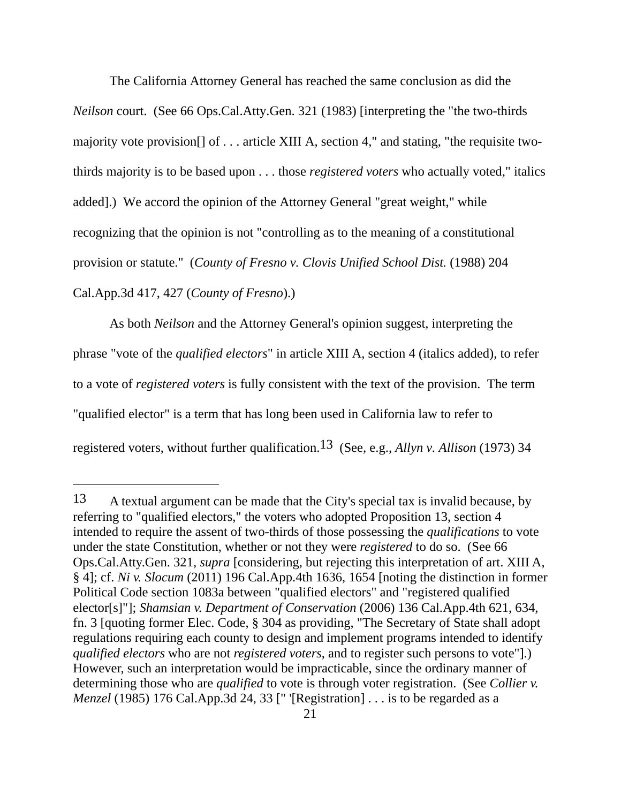The California Attorney General has reached the same conclusion as did the *Neilson* court. (See 66 Ops.Cal.Atty.Gen. 321 (1983) [interpreting the "the two-thirds majority vote provision[] of . . . article XIII A, section 4," and stating, "the requisite twothirds majority is to be based upon . . . those *registered voters* who actually voted," italics added].) We accord the opinion of the Attorney General "great weight," while recognizing that the opinion is not "controlling as to the meaning of a constitutional provision or statute." (*County of Fresno v. Clovis Unified School Dist.* (1988) 204 Cal.App.3d 417, 427 (*County of Fresno*).)

 As both *Neilson* and the Attorney General's opinion suggest, interpreting the phrase "vote of the *qualified electors*" in article XIII A, section 4 (italics added), to refer to a vote of *registered voters* is fully consistent with the text of the provision. The term "qualified elector" is a term that has long been used in California law to refer to registered voters, without further qualification.13 (See, e.g., *Allyn v. Allison* (1973) 34

<sup>13</sup> A textual argument can be made that the City's special tax is invalid because, by referring to "qualified electors," the voters who adopted Proposition 13, section 4 intended to require the assent of two-thirds of those possessing the *qualifications* to vote under the state Constitution, whether or not they were *registered* to do so. (See 66 Ops.Cal.Atty.Gen. 321, *supra* [considering, but rejecting this interpretation of art. XIII A, § 4]; cf. *Ni v. Slocum* (2011) 196 Cal.App.4th 1636, 1654 [noting the distinction in former Political Code section 1083a between "qualified electors" and "registered qualified elector[s]"]; *Shamsian v. Department of Conservation* (2006) 136 Cal.App.4th 621, 634, fn. 3 [quoting former Elec. Code, § 304 as providing, "The Secretary of State shall adopt regulations requiring each county to design and implement programs intended to identify *qualified electors* who are not *registered voters*, and to register such persons to vote"].) However, such an interpretation would be impracticable, since the ordinary manner of determining those who are *qualified* to vote is through voter registration. (See *Collier v. Menzel* (1985) 176 Cal.App.3d 24, 33 [" '[Registration] . . . is to be regarded as a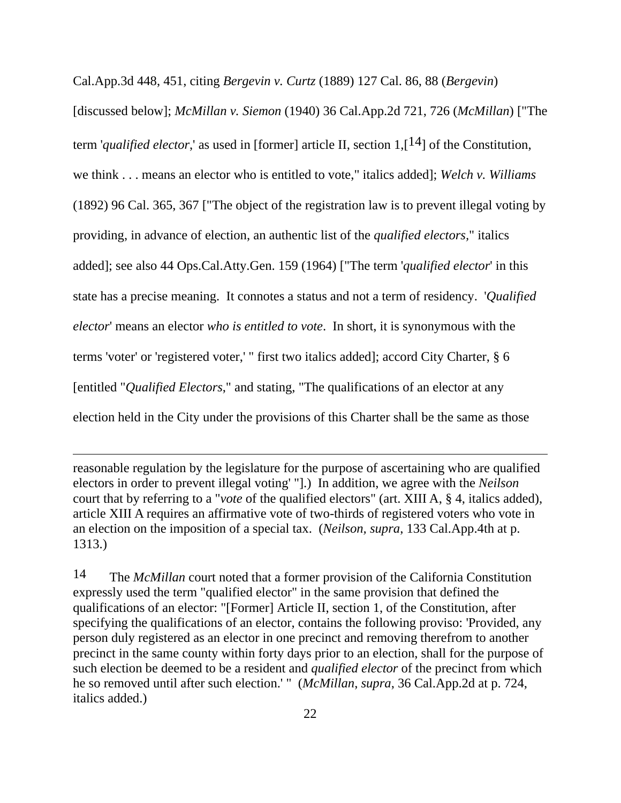Cal.App.3d 448, 451, citing *Bergevin v. Curtz* (1889) 127 Cal. 86, 88 (*Bergevin*) [discussed below]; *McMillan v. Siemon* (1940) 36 Cal.App.2d 721, 726 (*McMillan*) ["The term '*qualified elector*,' as used in [former] article II, section  $1,1^{4}$ ] of the Constitution, we think . . . means an elector who is entitled to vote," italics added]; *Welch v. Williams* (1892) 96 Cal. 365, 367 ["The object of the registration law is to prevent illegal voting by providing, in advance of election, an authentic list of the *qualified electors,*" italics added]; see also 44 Ops.Cal.Atty.Gen. 159 (1964) ["The term '*qualified elector*' in this state has a precise meaning. It connotes a status and not a term of residency. '*Qualified elector*' means an elector *who is entitled to vote*. In short, it is synonymous with the terms 'voter' or 'registered voter,' " first two italics added]; accord City Charter, § 6 [entitled "*Qualified Electors*," and stating, "The qualifications of an elector at any election held in the City under the provisions of this Charter shall be the same as those

reasonable regulation by the legislature for the purpose of ascertaining who are qualified electors in order to prevent illegal voting' "].) In addition, we agree with the *Neilson* court that by referring to a "*vote* of the qualified electors" (art. XIII A, § 4, italics added), article XIII A requires an affirmative vote of two-thirds of registered voters who vote in an election on the imposition of a special tax. (*Neilson, supra*, 133 Cal.App.4th at p. 1313.)

 $\overline{a}$ 

14 The *McMillan* court noted that a former provision of the California Constitution expressly used the term "qualified elector" in the same provision that defined the qualifications of an elector: "[Former] Article II, section 1, of the Constitution, after specifying the qualifications of an elector, contains the following proviso: 'Provided, any person duly registered as an elector in one precinct and removing therefrom to another precinct in the same county within forty days prior to an election, shall for the purpose of such election be deemed to be a resident and *qualified elector* of the precinct from which he so removed until after such election.' " (*McMillan*, *supra*, 36 Cal.App.2d at p. 724, italics added.)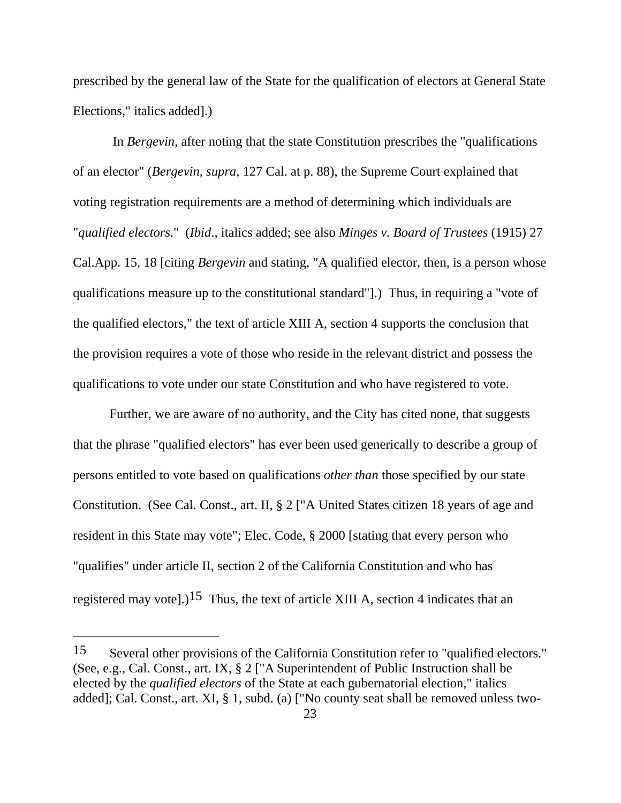prescribed by the general law of the State for the qualification of electors at General State Elections," italics added].)

 In *Bergevin*, after noting that the state Constitution prescribes the "qualifications of an elector" (*Bergevin, supra*, 127 Cal. at p. 88), the Supreme Court explained that voting registration requirements are a method of determining which individuals are "*qualified electors*." (*Ibid*., italics added; see also *Minges v. Board of Trustees* (1915) 27 Cal.App. 15, 18 [citing *Bergevin* and stating, "A qualified elector, then, is a person whose qualifications measure up to the constitutional standard"].) Thus, in requiring a "vote of the qualified electors," the text of article XIII A, section 4 supports the conclusion that the provision requires a vote of those who reside in the relevant district and possess the qualifications to vote under our state Constitution and who have registered to vote.

 Further, we are aware of no authority, and the City has cited none, that suggests that the phrase "qualified electors" has ever been used generically to describe a group of persons entitled to vote based on qualifications *other than* those specified by our state Constitution. (See Cal. Const., art. II, § 2 ["A United States citizen 18 years of age and resident in this State may vote"; Elec. Code, § 2000 [stating that every person who "qualifies" under article II, section 2 of the California Constitution and who has registered may vote].)<sup>15</sup> Thus, the text of article XIII A, section 4 indicates that an

<sup>15</sup> Several other provisions of the California Constitution refer to "qualified electors." (See, e.g., Cal. Const., art. IX, § 2 ["A Superintendent of Public Instruction shall be elected by the *qualified electors* of the State at each gubernatorial election," italics added]; Cal. Const., art. XI, § 1, subd. (a) ["No county seat shall be removed unless two-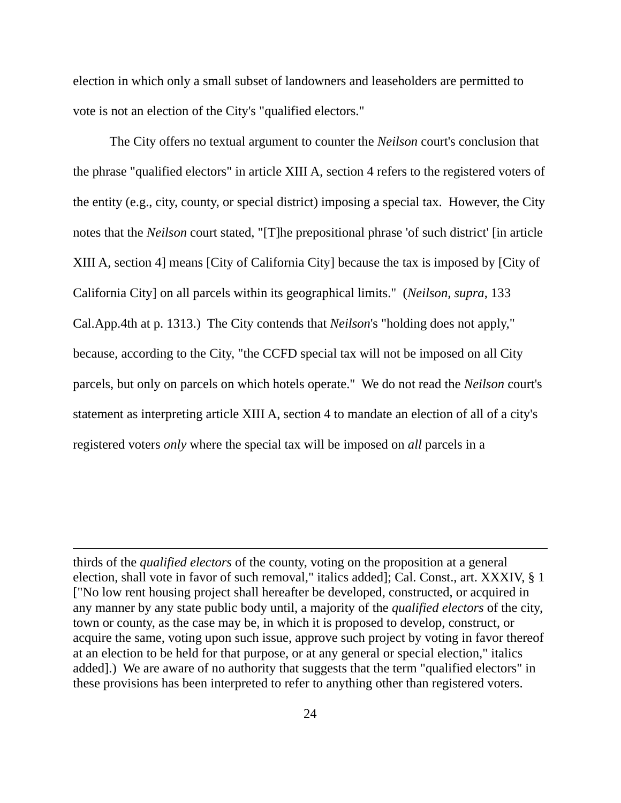election in which only a small subset of landowners and leaseholders are permitted to vote is not an election of the City's "qualified electors."

 The City offers no textual argument to counter the *Neilson* court's conclusion that the phrase "qualified electors" in article XIII A, section 4 refers to the registered voters of the entity (e.g., city, county, or special district) imposing a special tax. However, the City notes that the *Neilson* court stated, "[T]he prepositional phrase 'of such district' [in article XIII A, section 4] means [City of California City] because the tax is imposed by [City of California City] on all parcels within its geographical limits." (*Neilson, supra*, 133 Cal.App.4th at p. 1313.) The City contends that *Neilson*'s "holding does not apply," because, according to the City, "the CCFD special tax will not be imposed on all City parcels, but only on parcels on which hotels operate." We do not read the *Neilson* court's statement as interpreting article XIII A, section 4 to mandate an election of all of a city's registered voters *only* where the special tax will be imposed on *all* parcels in a

thirds of the *qualified electors* of the county, voting on the proposition at a general election, shall vote in favor of such removal," italics added]; Cal. Const., art. XXXIV, § 1 ["No low rent housing project shall hereafter be developed, constructed, or acquired in any manner by any state public body until, a majority of the *qualified electors* of the city, town or county, as the case may be, in which it is proposed to develop, construct, or acquire the same, voting upon such issue, approve such project by voting in favor thereof at an election to be held for that purpose, or at any general or special election," italics added].) We are aware of no authority that suggests that the term "qualified electors" in these provisions has been interpreted to refer to anything other than registered voters.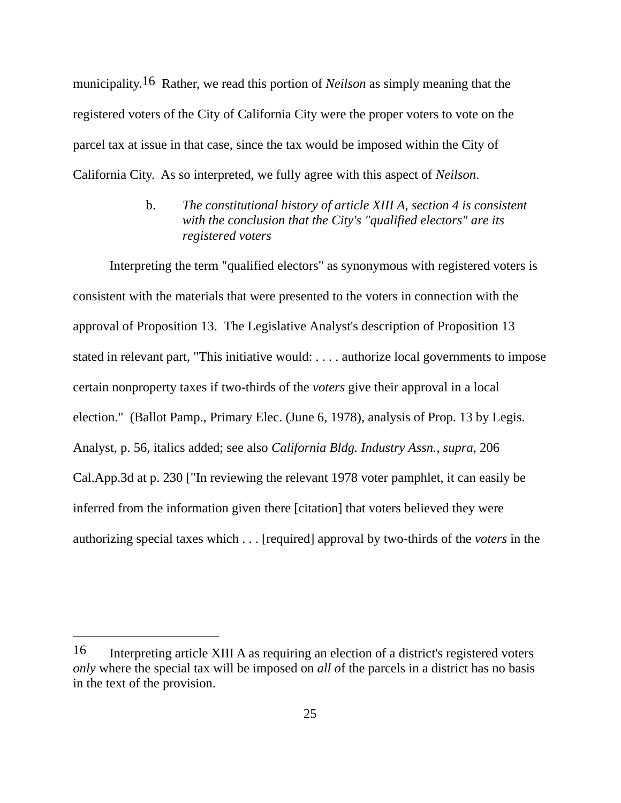municipality.16 Rather, we read this portion of *Neilson* as simply meaning that the registered voters of the City of California City were the proper voters to vote on the parcel tax at issue in that case, since the tax would be imposed within the City of California City. As so interpreted, we fully agree with this aspect of *Neilson*.

> b. *The constitutional history of article XIII A, section 4 is consistent with the conclusion that the City's "qualified electors" are its registered voters*

 Interpreting the term "qualified electors" as synonymous with registered voters is consistent with the materials that were presented to the voters in connection with the approval of Proposition 13. The Legislative Analyst's description of Proposition 13 stated in relevant part, "This initiative would: . . . . authorize local governments to impose certain nonproperty taxes if two-thirds of the *voters* give their approval in a local election." (Ballot Pamp., Primary Elec. (June 6, 1978), analysis of Prop. 13 by Legis. Analyst, p. 56, italics added; see also *California Bldg. Industry Assn., supra,* 206 Cal.App.3d at p. 230 ["In reviewing the relevant 1978 voter pamphlet, it can easily be inferred from the information given there [citation] that voters believed they were authorizing special taxes which . . . [required] approval by two-thirds of the *voters* in the

<sup>16</sup> Interpreting article XIII A as requiring an election of a district's registered voters *only* where the special tax will be imposed on *all o*f the parcels in a district has no basis in the text of the provision.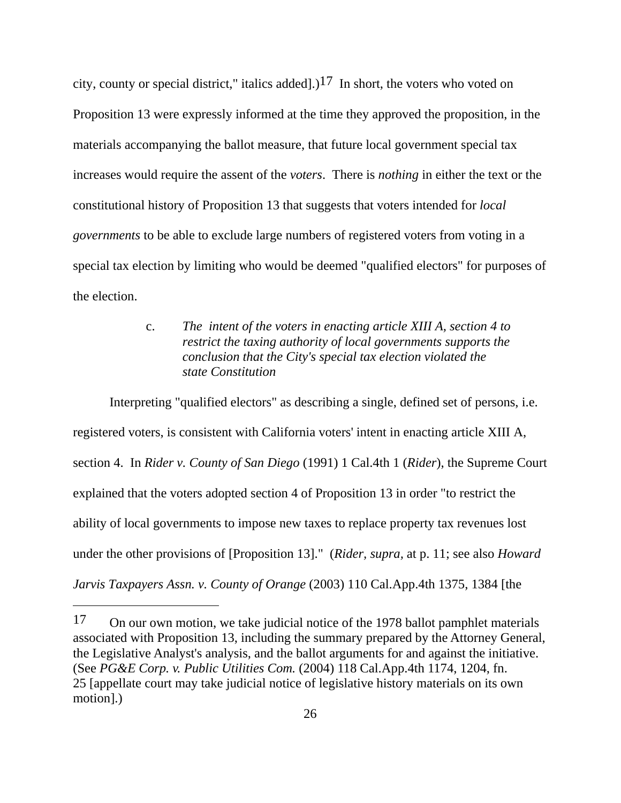city, county or special district," italics added].)<sup>17</sup> In short, the voters who voted on Proposition 13 were expressly informed at the time they approved the proposition, in the materials accompanying the ballot measure, that future local government special tax increases would require the assent of the *voters*. There is *nothing* in either the text or the constitutional history of Proposition 13 that suggests that voters intended for *local governments* to be able to exclude large numbers of registered voters from voting in a special tax election by limiting who would be deemed "qualified electors" for purposes of the election.

# c.*The intent of the voters in enacting article XIII A, section 4 to restrict the taxing authority of local governments supports the conclusion that the City's special tax election violated the state Constitution*

 Interpreting "qualified electors" as describing a single, defined set of persons, i.e. registered voters, is consistent with California voters' intent in enacting article XIII A, section 4. In *Rider v. County of San Diego* (1991) 1 Cal.4th 1 (*Rider*), the Supreme Court explained that the voters adopted section 4 of Proposition 13 in order "to restrict the ability of local governments to impose new taxes to replace property tax revenues lost under the other provisions of [Proposition 13]." (*Rider, supra,* at p. 11; see also *Howard Jarvis Taxpayers Assn. v. County of Orange* (2003) 110 Cal.App.4th 1375, 1384 [the

<sup>17</sup> On our own motion, we take judicial notice of the 1978 ballot pamphlet materials associated with Proposition 13, including the summary prepared by the Attorney General, the Legislative Analyst's analysis, and the ballot arguments for and against the initiative. (See *PG&E Corp. v. Public Utilities Com.* (2004) 118 Cal.App.4th 1174, 1204, fn. 25 [appellate court may take judicial notice of legislative history materials on its own motion].)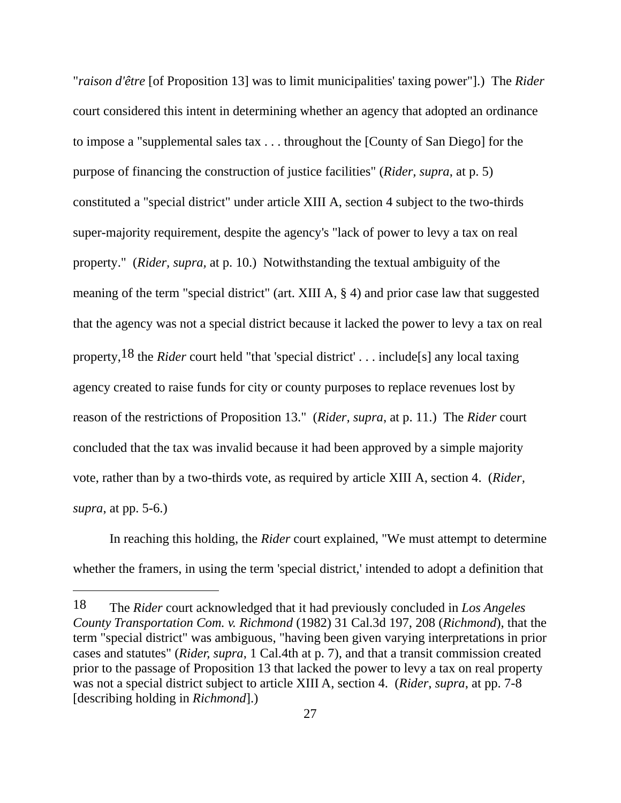"*raison d'être* [of Proposition 13] was to limit municipalities' taxing power"].) The *Rider* court considered this intent in determining whether an agency that adopted an ordinance to impose a "supplemental sales tax . . . throughout the [County of San Diego] for the purpose of financing the construction of justice facilities" (*Rider, supra*, at p. 5) constituted a "special district" under article XIII A, section 4 subject to the two-thirds super-majority requirement, despite the agency's "lack of power to levy a tax on real property." (*Rider, supra,* at p. 10.) Notwithstanding the textual ambiguity of the meaning of the term "special district" (art. XIII A, § 4) and prior case law that suggested that the agency was not a special district because it lacked the power to levy a tax on real property,18 the *Rider* court held "that 'special district' . . . include[s] any local taxing agency created to raise funds for city or county purposes to replace revenues lost by reason of the restrictions of Proposition 13." (*Rider, supra*, at p. 11.) The *Rider* court concluded that the tax was invalid because it had been approved by a simple majority vote, rather than by a two-thirds vote, as required by article XIII A, section 4. (*Rider, supra*, at pp. 5-6.)

 In reaching this holding, the *Rider* court explained, "We must attempt to determine whether the framers, in using the term 'special district,' intended to adopt a definition that

<sup>18</sup> The *Rider* court acknowledged that it had previously concluded in *Los Angeles County Transportation Com. v. Richmond* (1982) 31 Cal.3d 197, 208 (*Richmond*), that the term "special district" was ambiguous, "having been given varying interpretations in prior cases and statutes" (*Rider, supra*, 1 Cal.4th at p. 7), and that a transit commission created prior to the passage of Proposition 13 that lacked the power to levy a tax on real property was not a special district subject to article XIII A, section 4. (*Rider*, *supra*, at pp. 7-8 [describing holding in *Richmond*].)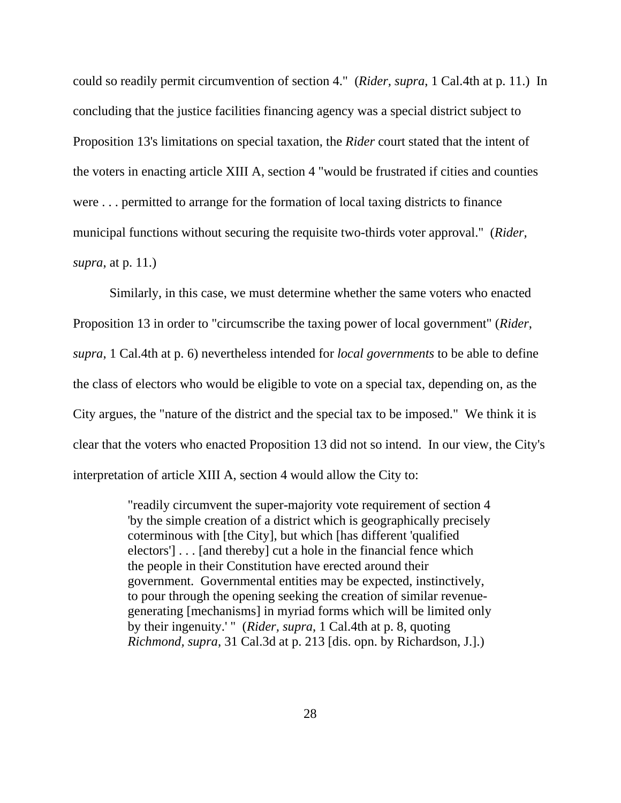could so readily permit circumvention of section 4." (*Rider, supra*, 1 Cal.4th at p. 11.) In concluding that the justice facilities financing agency was a special district subject to Proposition 13's limitations on special taxation, the *Rider* court stated that the intent of the voters in enacting article XIII A, section 4 "would be frustrated if cities and counties were . . . permitted to arrange for the formation of local taxing districts to finance municipal functions without securing the requisite two-thirds voter approval." (*Rider, supra*, at p. 11.)

 Similarly, in this case, we must determine whether the same voters who enacted Proposition 13 in order to "circumscribe the taxing power of local government" (*Rider*, *supra*, 1 Cal.4th at p. 6) nevertheless intended for *local governments* to be able to define the class of electors who would be eligible to vote on a special tax, depending on, as the City argues, the "nature of the district and the special tax to be imposed." We think it is clear that the voters who enacted Proposition 13 did not so intend. In our view, the City's interpretation of article XIII A, section 4 would allow the City to:

> "readily circumvent the super-majority vote requirement of section 4 'by the simple creation of a district which is geographically precisely coterminous with [the City], but which [has different 'qualified electors'] . . . [and thereby] cut a hole in the financial fence which the people in their Constitution have erected around their government. Governmental entities may be expected, instinctively, to pour through the opening seeking the creation of similar revenuegenerating [mechanisms] in myriad forms which will be limited only by their ingenuity.' " (*Rider, supra*, 1 Cal.4th at p. 8, quoting *Richmond, supra*, 31 Cal.3d at p. 213 [dis. opn. by Richardson, J.].)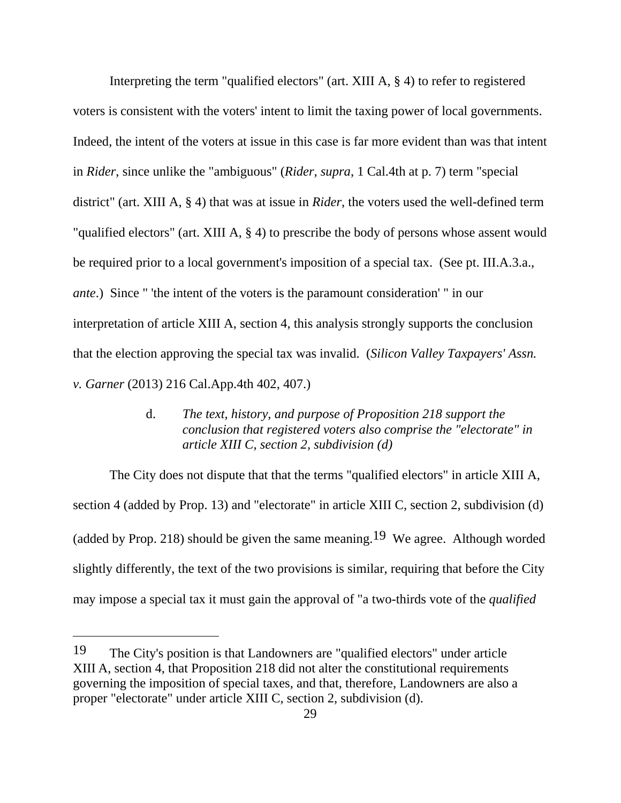Interpreting the term "qualified electors" (art. XIII A, § 4) to refer to registered voters is consistent with the voters' intent to limit the taxing power of local governments. Indeed, the intent of the voters at issue in this case is far more evident than was that intent in *Rider*, since unlike the "ambiguous" (*Rider, supra*, 1 Cal.4th at p. 7) term "special district" (art. XIII A, § 4) that was at issue in *Rider*, the voters used the well-defined term "qualified electors" (art. XIII A, § 4) to prescribe the body of persons whose assent would be required prior to a local government's imposition of a special tax. (See pt. III.A.3.a., *ante*.) Since " 'the intent of the voters is the paramount consideration' " in our interpretation of article XIII A, section 4, this analysis strongly supports the conclusion that the election approving the special tax was invalid. (*Silicon Valley Taxpayers' Assn. v. Garner* (2013) 216 Cal.App.4th 402, 407.)

> d. *The text, history, and purpose of Proposition 218 support the conclusion that registered voters also comprise the "electorate" in article XIII C, section 2, subdivision (d)*

 The City does not dispute that that the terms "qualified electors" in article XIII A, section 4 (added by Prop. 13) and "electorate" in article XIII C, section 2, subdivision (d) (added by Prop. 218) should be given the same meaning.<sup>19</sup> We agree. Although worded slightly differently, the text of the two provisions is similar, requiring that before the City may impose a special tax it must gain the approval of "a two-thirds vote of the *qualified*

<sup>19</sup> The City's position is that Landowners are "qualified electors" under article XIII A, section 4, that Proposition 218 did not alter the constitutional requirements governing the imposition of special taxes, and that, therefore, Landowners are also a proper "electorate" under article XIII C, section 2, subdivision (d).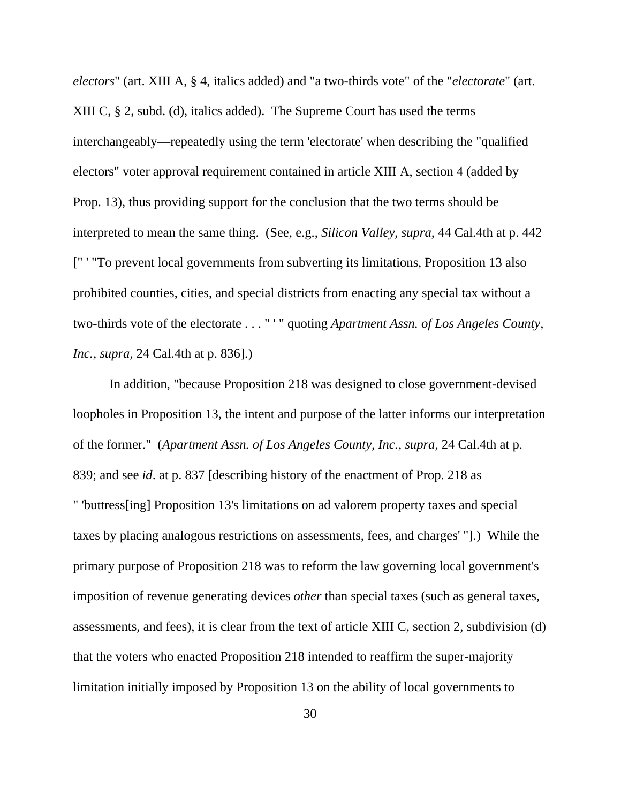*electors*" (art. XIII A, § 4, italics added) and "a two-thirds vote" of the "*electorate*" (art. XIII C, § 2, subd. (d), italics added). The Supreme Court has used the terms interchangeably—repeatedly using the term 'electorate' when describing the "qualified electors" voter approval requirement contained in article XIII A, section 4 (added by Prop. 13), thus providing support for the conclusion that the two terms should be interpreted to mean the same thing. (See, e.g., *Silicon Valley*, *supra*, 44 Cal.4th at p. 442 [" ' "To prevent local governments from subverting its limitations, Proposition 13 also prohibited counties, cities, and special districts from enacting any special tax without a two-thirds vote of the electorate . . . " ' " quoting *Apartment Assn. of Los Angeles County, Inc., supra,* 24 Cal.4th at p. 836].)

 In addition, "because Proposition 218 was designed to close government-devised loopholes in Proposition 13, the intent and purpose of the latter informs our interpretation of the former." (*Apartment Assn. of Los Angeles County, Inc., supra*, 24 Cal.4th at p. 839; and see *id*. at p. 837 [describing history of the enactment of Prop. 218 as " 'buttress[ing] Proposition 13's limitations on ad valorem property taxes and special taxes by placing analogous restrictions on assessments, fees, and charges' "].) While the primary purpose of Proposition 218 was to reform the law governing local government's imposition of revenue generating devices *other* than special taxes (such as general taxes, assessments, and fees), it is clear from the text of article XIII C, section 2, subdivision (d) that the voters who enacted Proposition 218 intended to reaffirm the super-majority limitation initially imposed by Proposition 13 on the ability of local governments to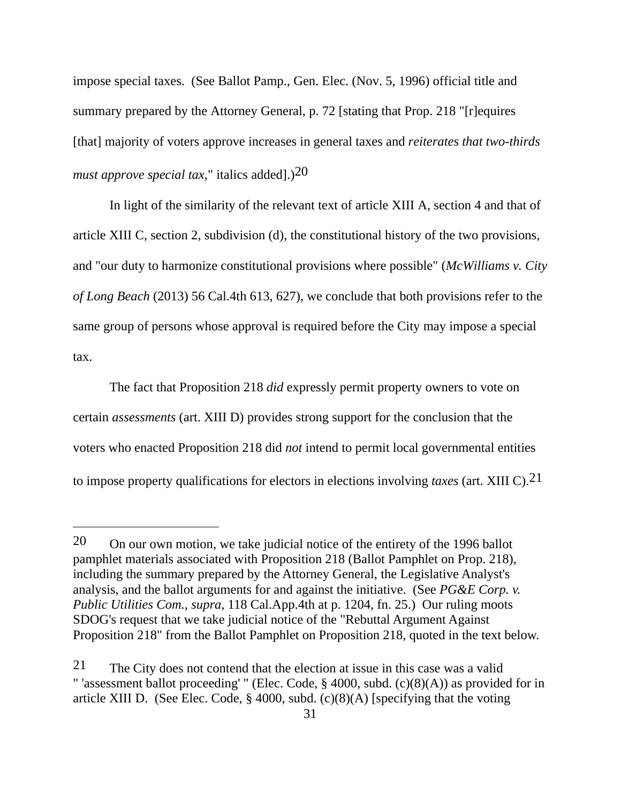impose special taxes. (See Ballot Pamp., Gen. Elec. (Nov. 5, 1996) official title and summary prepared by the Attorney General, p. 72 [stating that Prop. 218 "[r]equires [that] majority of voters approve increases in general taxes and *reiterates that two-thirds must approve special tax,*" italics added].)20

 In light of the similarity of the relevant text of article XIII A, section 4 and that of article XIII C, section 2, subdivision (d), the constitutional history of the two provisions, and "our duty to harmonize constitutional provisions where possible" (*McWilliams v. City of Long Beach* (2013) 56 Cal.4th 613, 627), we conclude that both provisions refer to the same group of persons whose approval is required before the City may impose a special tax.

 The fact that Proposition 218 *did* expressly permit property owners to vote on certain *assessments* (art. XIII D) provides strong support for the conclusion that the voters who enacted Proposition 218 did *not* intend to permit local governmental entities to impose property qualifications for electors in elections involving *taxes* (art. XIII C).21

<sup>20</sup> On our own motion, we take judicial notice of the entirety of the 1996 ballot pamphlet materials associated with Proposition 218 (Ballot Pamphlet on Prop. 218), including the summary prepared by the Attorney General, the Legislative Analyst's analysis, and the ballot arguments for and against the initiative. (See *PG&E Corp. v. Public Utilities Com.*, *supra*, 118 Cal.App.4th at p. 1204, fn. 25.) Our ruling moots SDOG's request that we take judicial notice of the "Rebuttal Argument Against Proposition 218" from the Ballot Pamphlet on Proposition 218, quoted in the text below.

<sup>21</sup> The City does not contend that the election at issue in this case was a valid " 'assessment ballot proceeding' " (Elec. Code, § 4000, subd. (c)(8)(A)) as provided for in article XIII D. (See Elec. Code, § 4000, subd. (c)(8)(A) [specifying that the voting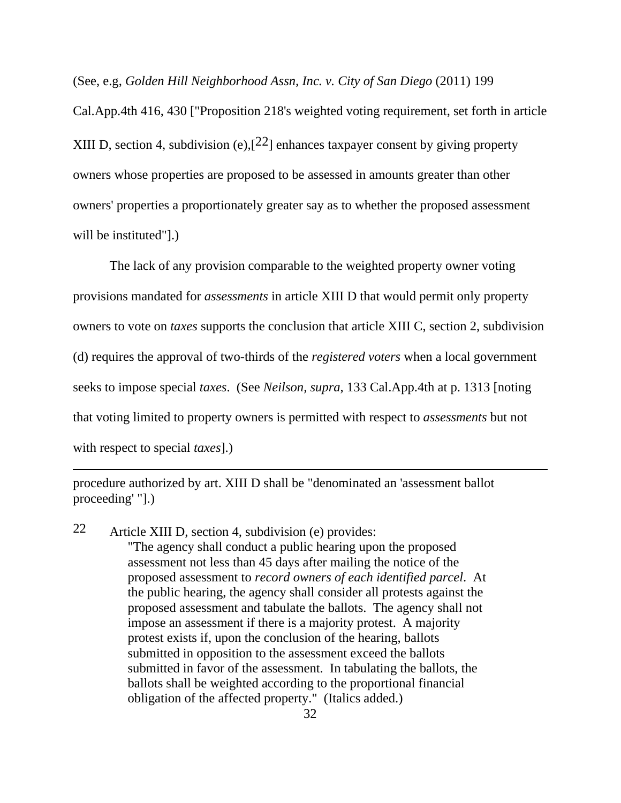(See, e.g, *Golden Hill Neighborhood Assn, Inc. v. City of San Diego* (2011) 199

Cal.App.4th 416, 430 ["Proposition 218's weighted voting requirement, set forth in article XIII D, section 4, subdivision (e),  $[2^2]$  enhances taxpayer consent by giving property owners whose properties are proposed to be assessed in amounts greater than other owners' properties a proportionately greater say as to whether the proposed assessment will be instituted"].)

 The lack of any provision comparable to the weighted property owner voting provisions mandated for *assessments* in article XIII D that would permit only property owners to vote on *taxes* supports the conclusion that article XIII C, section 2, subdivision (d) requires the approval of two-thirds of the *registered voters* when a local government seeks to impose special *taxes*. (See *Neilson, supra*, 133 Cal.App.4th at p. 1313 [noting that voting limited to property owners is permitted with respect to *assessments* but not with respect to special *taxes*].)

procedure authorized by art. XIII D shall be "denominated an 'assessment ballot proceeding' "].)

 $\overline{a}$ 

22 Article XIII D, section 4, subdivision (e) provides: "The agency shall conduct a public hearing upon the proposed assessment not less than 45 days after mailing the notice of the proposed assessment to *record owners of each identified parcel*. At the public hearing, the agency shall consider all protests against the proposed assessment and tabulate the ballots. The agency shall not impose an assessment if there is a majority protest. A majority protest exists if, upon the conclusion of the hearing, ballots submitted in opposition to the assessment exceed the ballots submitted in favor of the assessment. In tabulating the ballots, the ballots shall be weighted according to the proportional financial obligation of the affected property." (Italics added.)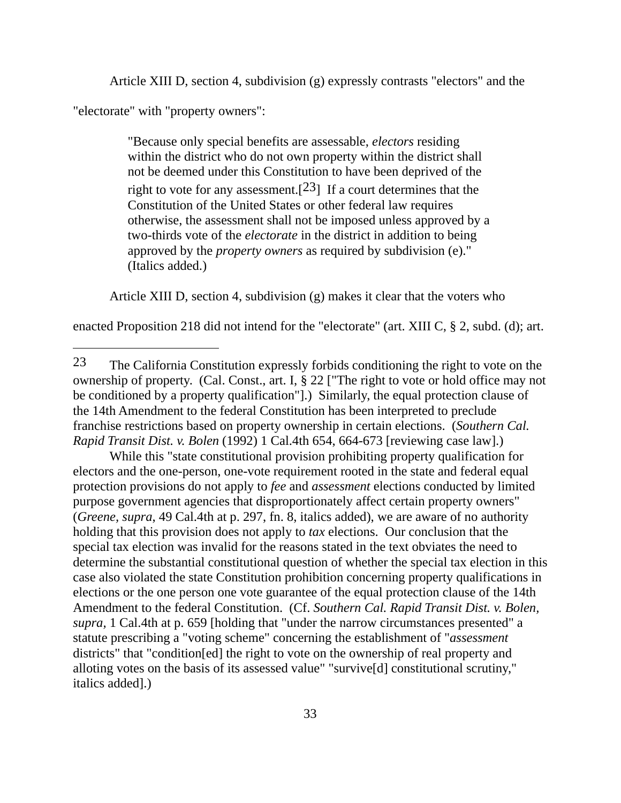Article XIII D, section 4, subdivision (g) expressly contrasts "electors" and the

"electorate" with "property owners":

 $\overline{a}$ 

"Because only special benefits are assessable, *electors* residing within the district who do not own property within the district shall not be deemed under this Constitution to have been deprived of the right to vote for any assessment.<sup>[23]</sup> If a court determines that the Constitution of the United States or other federal law requires otherwise, the assessment shall not be imposed unless approved by a two-thirds vote of the *electorate* in the district in addition to being approved by the *property owners* as required by subdivision (e)." (Italics added.)

Article XIII D, section 4, subdivision (g) makes it clear that the voters who

enacted Proposition 218 did not intend for the "electorate" (art. XIII C, § 2, subd. (d); art.

 While this "state constitutional provision prohibiting property qualification for electors and the one-person, one-vote requirement rooted in the state and federal equal protection provisions do not apply to *fee* and *assessment* elections conducted by limited purpose government agencies that disproportionately affect certain property owners" (*Greene, supra*, 49 Cal.4th at p. 297, fn. 8, italics added), we are aware of no authority holding that this provision does not apply to *tax* elections. Our conclusion that the special tax election was invalid for the reasons stated in the text obviates the need to determine the substantial constitutional question of whether the special tax election in this case also violated the state Constitution prohibition concerning property qualifications in elections or the one person one vote guarantee of the equal protection clause of the 14th Amendment to the federal Constitution. (Cf. *Southern Cal. Rapid Transit Dist. v. Bolen, supra,* 1 Cal.4th at p. 659 [holding that "under the narrow circumstances presented" a statute prescribing a "voting scheme" concerning the establishment of "*assessment*  districts" that "condition[ed] the right to vote on the ownership of real property and alloting votes on the basis of its assessed value" "survive[d] constitutional scrutiny," italics added].)

<sup>23</sup> The California Constitution expressly forbids conditioning the right to vote on the ownership of property. (Cal. Const., art. I, § 22 ["The right to vote or hold office may not be conditioned by a property qualification"].) Similarly, the equal protection clause of the 14th Amendment to the federal Constitution has been interpreted to preclude franchise restrictions based on property ownership in certain elections. (*Southern Cal. Rapid Transit Dist. v. Bolen* (1992) 1 Cal.4th 654, 664-673 [reviewing case law].)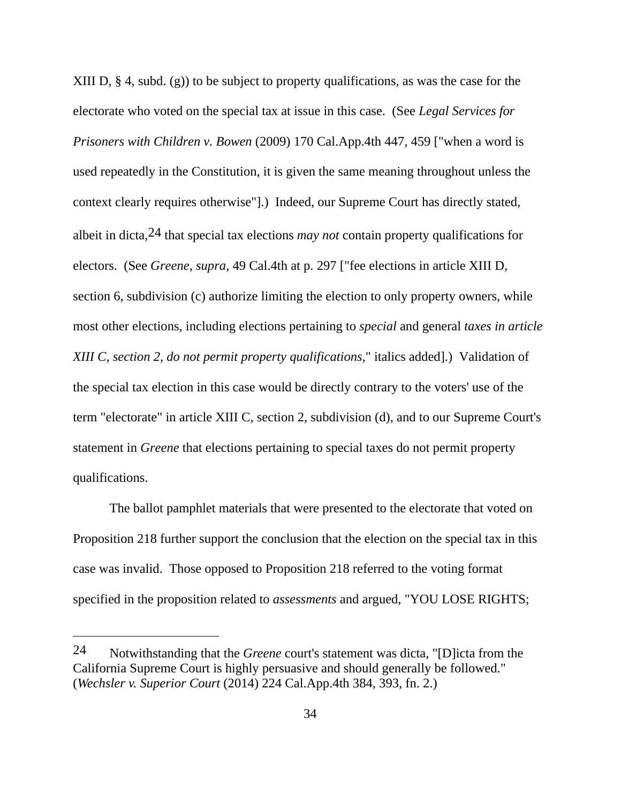XIII D, § 4, subd. (g)) to be subject to property qualifications, as was the case for the electorate who voted on the special tax at issue in this case. (See *Legal Services for Prisoners with Children v. Bowen* (2009) 170 Cal.App.4th 447, 459 ["when a word is used repeatedly in the Constitution, it is given the same meaning throughout unless the context clearly requires otherwise"].) Indeed, our Supreme Court has directly stated, albeit in dicta,24 that special tax elections *may not* contain property qualifications for electors. (See *Greene, supra*, 49 Cal.4th at p. 297 ["fee elections in article XIII D, section 6, subdivision (c) authorize limiting the election to only property owners, while most other elections, including elections pertaining to *special* and general *taxes in article XIII C, section 2, do not permit property qualifications*," italics added].) Validation of the special tax election in this case would be directly contrary to the voters' use of the term "electorate" in article XIII C, section 2, subdivision (d), and to our Supreme Court's statement in *Greene* that elections pertaining to special taxes do not permit property qualifications.

 The ballot pamphlet materials that were presented to the electorate that voted on Proposition 218 further support the conclusion that the election on the special tax in this case was invalid. Those opposed to Proposition 218 referred to the voting format specified in the proposition related to *assessments* and argued, "YOU LOSE RIGHTS;

<sup>24</sup> Notwithstanding that the *Greene* court's statement was dicta, "[D]icta from the California Supreme Court is highly persuasive and should generally be followed." (*Wechsler v. Superior Court* (2014) 224 Cal.App.4th 384, 393, fn. 2.)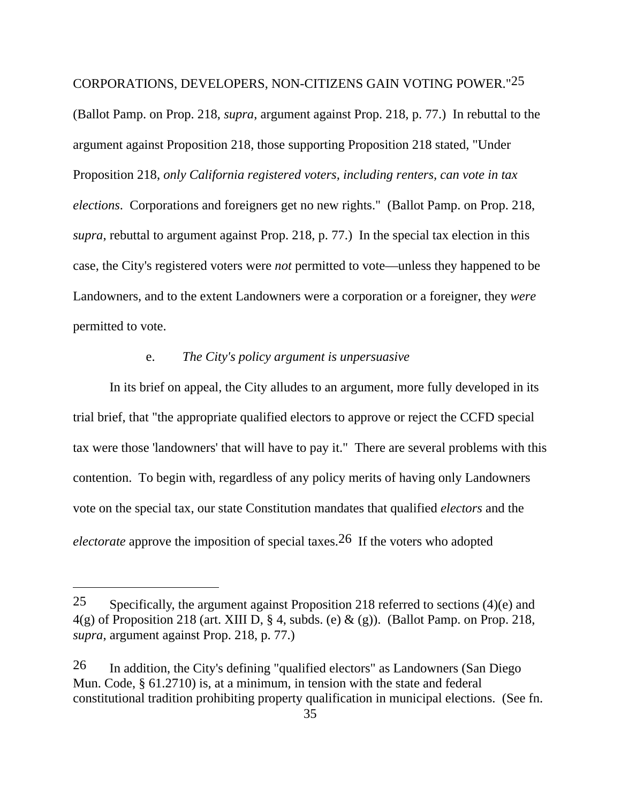CORPORATIONS, DEVELOPERS, NON-CITIZENS GAIN VOTING POWER."25

(Ballot Pamp. on Prop. 218, *supra*, argument against Prop. 218, p. 77.) In rebuttal to the argument against Proposition 218, those supporting Proposition 218 stated, "Under Proposition 218, *only California registered voters, including renters, can vote in tax elections*. Corporations and foreigners get no new rights." (Ballot Pamp. on Prop. 218, *supra*, rebuttal to argument against Prop. 218, p. 77.) In the special tax election in this case, the City's registered voters were *not* permitted to vote—unless they happened to be Landowners, and to the extent Landowners were a corporation or a foreigner, they *were*  permitted to vote.

# e. *The City's policy argument is unpersuasive*

 In its brief on appeal, the City alludes to an argument, more fully developed in its trial brief, that "the appropriate qualified electors to approve or reject the CCFD special tax were those 'landowners' that will have to pay it." There are several problems with this contention. To begin with, regardless of any policy merits of having only Landowners vote on the special tax, our state Constitution mandates that qualified *electors* and the *electorate* approve the imposition of special taxes.26 If the voters who adopted

<sup>25</sup> Specifically, the argument against Proposition 218 referred to sections  $(4)(e)$  and  $4(g)$  of Proposition 218 (art. XIII D, § 4, subds. (e) & (g)). (Ballot Pamp. on Prop. 218, *supra*, argument against Prop. 218, p. 77.)

<sup>26</sup> In addition, the City's defining "qualified electors" as Landowners (San Diego Mun. Code, § 61.2710) is, at a minimum, in tension with the state and federal constitutional tradition prohibiting property qualification in municipal elections. (See fn.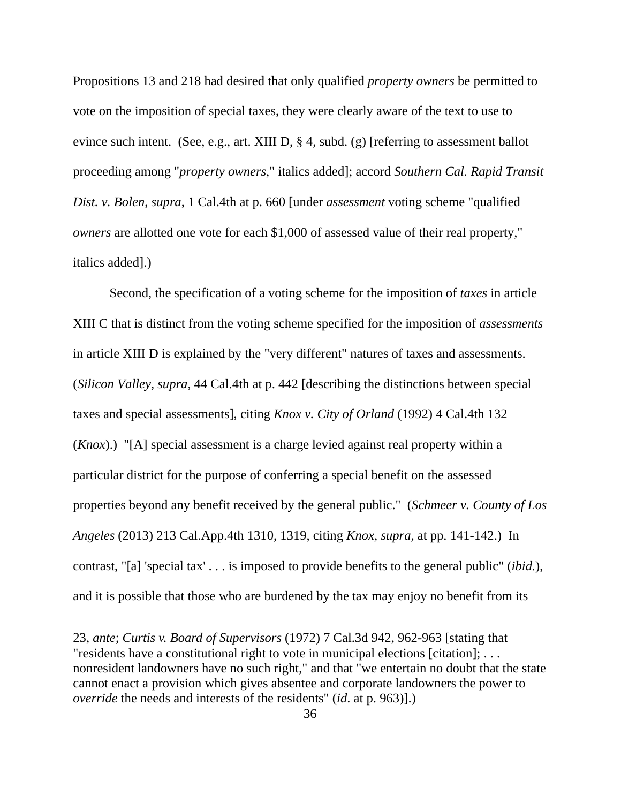Propositions 13 and 218 had desired that only qualified *property owners* be permitted to vote on the imposition of special taxes, they were clearly aware of the text to use to evince such intent. (See, e.g., art. XIII D, § 4, subd. (g) [referring to assessment ballot proceeding among "*property owners*," italics added]; accord *Southern Cal. Rapid Transit Dist. v. Bolen*, *supra*, 1 Cal.4th at p. 660 [under *assessment* voting scheme "qualified *owners* are allotted one vote for each \$1,000 of assessed value of their real property," italics added].)

 Second, the specification of a voting scheme for the imposition of *taxes* in article XIII C that is distinct from the voting scheme specified for the imposition of *assessments*  in article XIII D is explained by the "very different" natures of taxes and assessments. (*Silicon Valley, supra,* 44 Cal.4th at p. 442 [describing the distinctions between special taxes and special assessments], citing *Knox v. City of Orland* (1992) 4 Cal.4th 132 (*Knox*).) "[A] special assessment is a charge levied against real property within a particular district for the purpose of conferring a special benefit on the assessed properties beyond any benefit received by the general public." (*Schmeer v. County of Los Angeles* (2013) 213 Cal.App.4th 1310, 1319, citing *Knox, supra,* at pp. 141-142.) In contrast, "[a] 'special tax' . . . is imposed to provide benefits to the general public" (*ibid.*), and it is possible that those who are burdened by the tax may enjoy no benefit from its

<sup>23,</sup> *ante*; *Curtis v. Board of Supervisors* (1972) 7 Cal.3d 942, 962-963 [stating that "residents have a constitutional right to vote in municipal elections [citation]; . . . nonresident landowners have no such right," and that "we entertain no doubt that the state cannot enact a provision which gives absentee and corporate landowners the power to *override* the needs and interests of the residents" (*id*. at p. 963)].)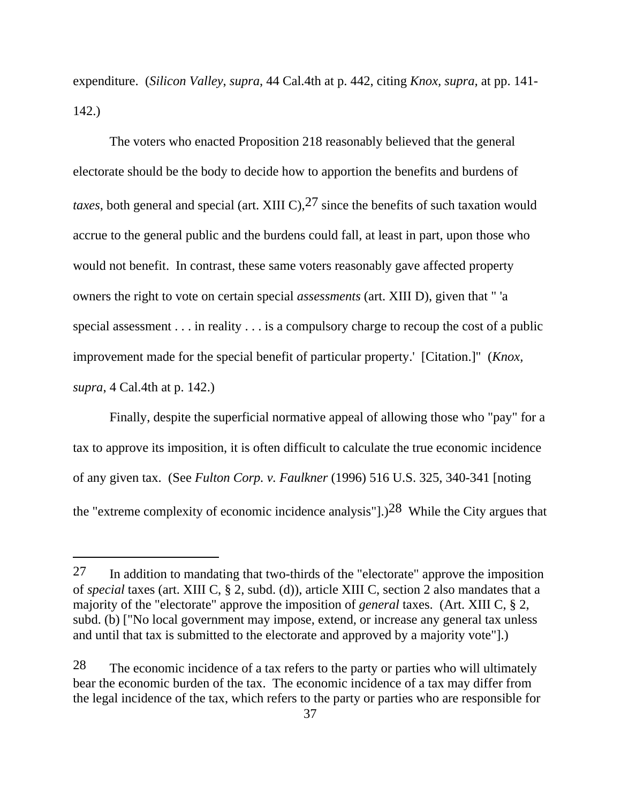expenditure. (*Silicon Valley*, *supra*, 44 Cal.4th at p. 442, citing *Knox, supra,* at pp. 141- 142.)

 The voters who enacted Proposition 218 reasonably believed that the general electorate should be the body to decide how to apportion the benefits and burdens of *taxes*, both general and special (art. XIII C), <sup>27</sup> since the benefits of such taxation would accrue to the general public and the burdens could fall, at least in part, upon those who would not benefit. In contrast, these same voters reasonably gave affected property owners the right to vote on certain special *assessments* (art. XIII D), given that " 'a special assessment . . . in reality . . . is a compulsory charge to recoup the cost of a public improvement made for the special benefit of particular property.' [Citation.]" (*Knox, supra*, 4 Cal.4th at p. 142.)

 Finally, despite the superficial normative appeal of allowing those who "pay" for a tax to approve its imposition, it is often difficult to calculate the true economic incidence of any given tax. (See *Fulton Corp. v. Faulkner* (1996) 516 U.S. 325, 340-341 [noting the "extreme complexity of economic incidence analysis"].)28 While the City argues that

 $27$  In addition to mandating that two-thirds of the "electorate" approve the imposition of *special* taxes (art. XIII C, § 2, subd. (d)), article XIII C, section 2 also mandates that a majority of the "electorate" approve the imposition of *general* taxes. (Art. XIII C, § 2, subd. (b) ["No local government may impose, extend, or increase any general tax unless and until that tax is submitted to the electorate and approved by a majority vote"].)

<sup>28</sup> The economic incidence of a tax refers to the party or parties who will ultimately bear the economic burden of the tax. The economic incidence of a tax may differ from the legal incidence of the tax, which refers to the party or parties who are responsible for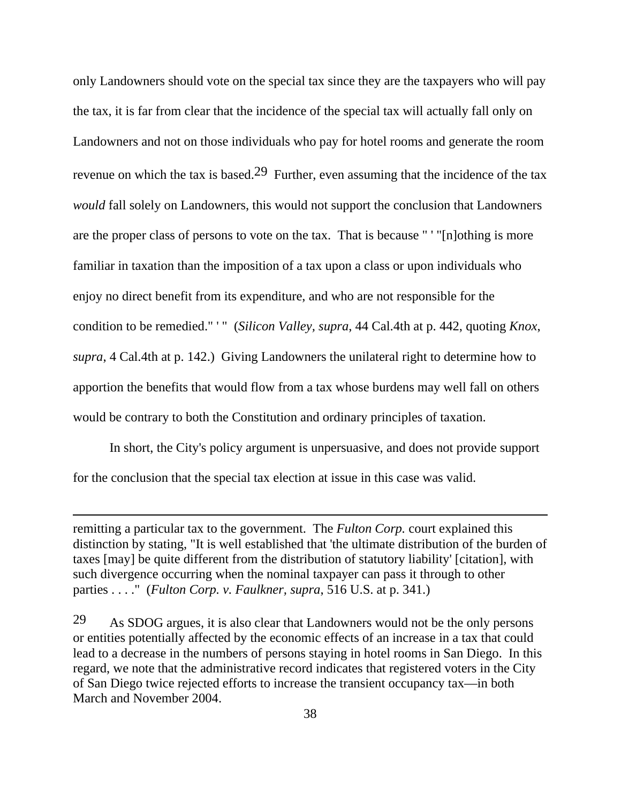only Landowners should vote on the special tax since they are the taxpayers who will pay the tax, it is far from clear that the incidence of the special tax will actually fall only on Landowners and not on those individuals who pay for hotel rooms and generate the room revenue on which the tax is based.<sup>29</sup> Further, even assuming that the incidence of the tax *would* fall solely on Landowners, this would not support the conclusion that Landowners are the proper class of persons to vote on the tax. That is because " ' "[n]othing is more familiar in taxation than the imposition of a tax upon a class or upon individuals who enjoy no direct benefit from its expenditure, and who are not responsible for the condition to be remedied." ' " (*Silicon Valley, supra*, 44 Cal.4th at p. 442, quoting *Knox*, *supra*, 4 Cal.4th at p. 142.) Giving Landowners the unilateral right to determine how to apportion the benefits that would flow from a tax whose burdens may well fall on others would be contrary to both the Constitution and ordinary principles of taxation.

 In short, the City's policy argument is unpersuasive, and does not provide support for the conclusion that the special tax election at issue in this case was valid.

remitting a particular tax to the government. The *Fulton Corp.* court explained this distinction by stating, "It is well established that 'the ultimate distribution of the burden of taxes [may] be quite different from the distribution of statutory liability' [citation], with such divergence occurring when the nominal taxpayer can pass it through to other parties . . . ." (*Fulton Corp. v. Faulkner, supra*, 516 U.S. at p. 341.)

<sup>29</sup> As SDOG argues, it is also clear that Landowners would not be the only persons or entities potentially affected by the economic effects of an increase in a tax that could lead to a decrease in the numbers of persons staying in hotel rooms in San Diego. In this regard, we note that the administrative record indicates that registered voters in the City of San Diego twice rejected efforts to increase the transient occupancy tax—in both March and November 2004.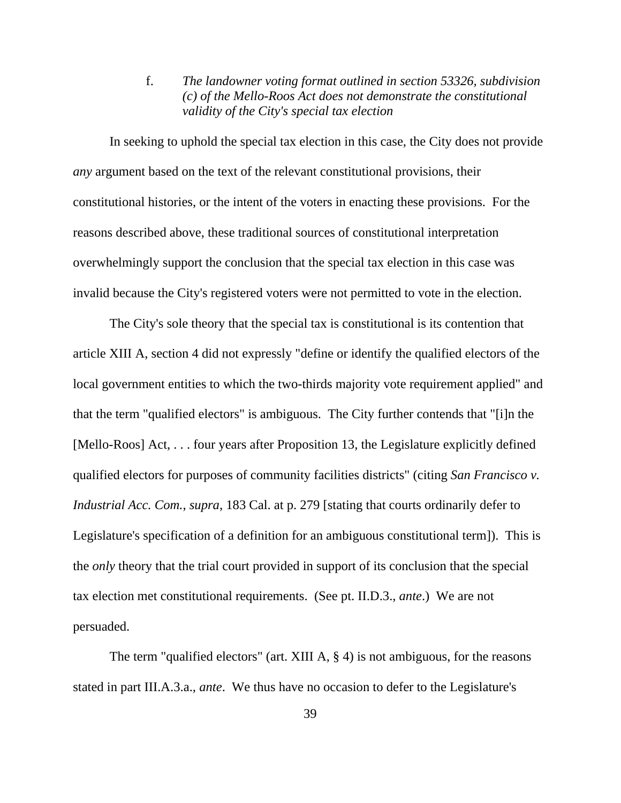f. *The landowner voting format outlined in section 53326, subdivision (c) of the Mello-Roos Act does not demonstrate the constitutional validity of the City's special tax election*

In seeking to uphold the special tax election in this case, the City does not provide *any* argument based on the text of the relevant constitutional provisions, their constitutional histories, or the intent of the voters in enacting these provisions. For the reasons described above, these traditional sources of constitutional interpretation overwhelmingly support the conclusion that the special tax election in this case was invalid because the City's registered voters were not permitted to vote in the election.

 The City's sole theory that the special tax is constitutional is its contention that article XIII A, section 4 did not expressly "define or identify the qualified electors of the local government entities to which the two-thirds majority vote requirement applied" and that the term "qualified electors" is ambiguous. The City further contends that "[i]n the [Mello-Roos] Act, . . . four years after Proposition 13, the Legislature explicitly defined qualified electors for purposes of community facilities districts" (citing *San Francisco v. Industrial Acc. Com.*, *supra*, 183 Cal. at p. 279 [stating that courts ordinarily defer to Legislature's specification of a definition for an ambiguous constitutional term]). This is the *only* theory that the trial court provided in support of its conclusion that the special tax election met constitutional requirements. (See pt. II.D.3., *ante*.) We are not persuaded.

 The term "qualified electors" (art. XIII A, § 4) is not ambiguous, for the reasons stated in part III.A.3.a., *ante*. We thus have no occasion to defer to the Legislature's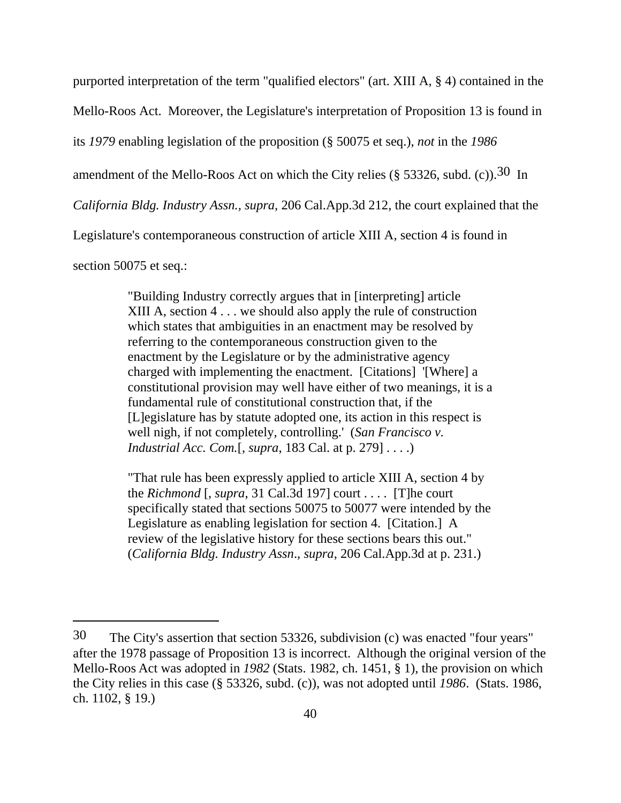purported interpretation of the term "qualified electors" (art. XIII A, § 4) contained in the Mello-Roos Act. Moreover, the Legislature's interpretation of Proposition 13 is found in its *1979* enabling legislation of the proposition (§ 50075 et seq.), *not* in the *1986* amendment of the Mello-Roos Act on which the City relies (§ 53326, subd. (c)).30 In *California Bldg. Industry Assn., supra,* 206 Cal.App.3d 212, the court explained that the Legislature's contemporaneous construction of article XIII A, section 4 is found in section 50075 et seq.:

> "Building Industry correctly argues that in [interpreting] article XIII A, section 4 . . . we should also apply the rule of construction which states that ambiguities in an enactment may be resolved by referring to the contemporaneous construction given to the enactment by the Legislature or by the administrative agency charged with implementing the enactment. [Citations] '[Where] a constitutional provision may well have either of two meanings, it is a fundamental rule of constitutional construction that, if the [L]egislature has by statute adopted one, its action in this respect is well nigh, if not completely, controlling.' (*San Francisco v. Industrial Acc. Com.*[, *supra*, 183 Cal. at p. 279] . . . .)

> "That rule has been expressly applied to article XIII A, section 4 by the *Richmond* [, *supra*, 31 Cal.3d 197] court . . . . [T]he court specifically stated that sections 50075 to 50077 were intended by the Legislature as enabling legislation for section 4. [Citation.] A review of the legislative history for these sections bears this out." (*California Bldg. Industry Assn*., *supra*, 206 Cal.App.3d at p. 231.)

<sup>30</sup> The City's assertion that section 53326, subdivision (c) was enacted "four years" after the 1978 passage of Proposition 13 is incorrect. Although the original version of the Mello-Roos Act was adopted in *1982* (Stats. 1982, ch. 1451, § 1), the provision on which the City relies in this case (§ 53326, subd. (c)), was not adopted until *1986*. (Stats. 1986, ch. 1102, § 19.)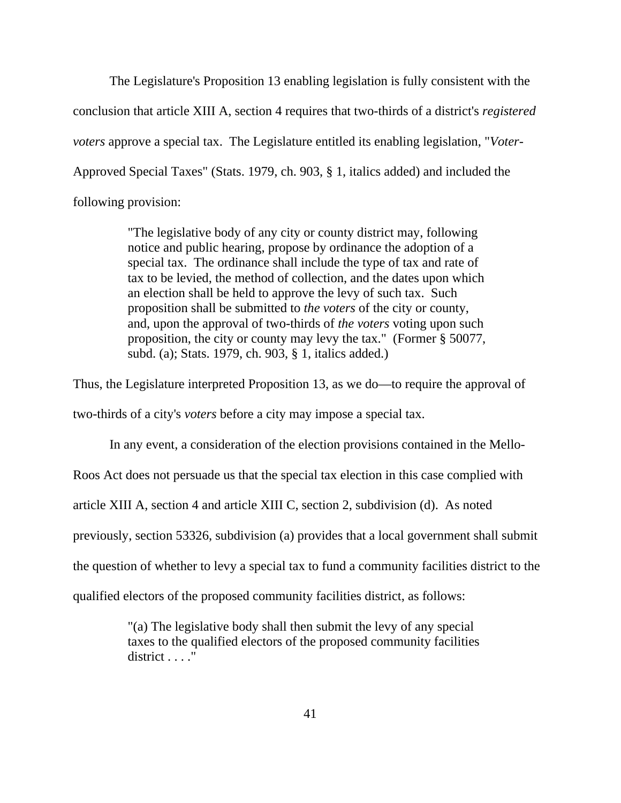The Legislature's Proposition 13 enabling legislation is fully consistent with the conclusion that article XIII A, section 4 requires that two-thirds of a district's *registered voters* approve a special tax. The Legislature entitled its enabling legislation, "*Voter*-Approved Special Taxes" (Stats. 1979, ch. 903, § 1, italics added) and included the following provision:

> "The legislative body of any city or county district may, following notice and public hearing, propose by ordinance the adoption of a special tax. The ordinance shall include the type of tax and rate of tax to be levied, the method of collection, and the dates upon which an election shall be held to approve the levy of such tax. Such proposition shall be submitted to *the voters* of the city or county, and, upon the approval of two-thirds of *the voters* voting upon such proposition, the city or county may levy the tax." (Former § 50077, subd. (a); Stats. 1979, ch. 903, § 1, italics added.)

Thus, the Legislature interpreted Proposition 13, as we do—to require the approval of two-thirds of a city's *voters* before a city may impose a special tax.

 In any event, a consideration of the election provisions contained in the Mello-Roos Act does not persuade us that the special tax election in this case complied with article XIII A, section 4 and article XIII C, section 2, subdivision (d). As noted previously, section 53326, subdivision (a) provides that a local government shall submit the question of whether to levy a special tax to fund a community facilities district to the qualified electors of the proposed community facilities district, as follows:

> "(a) The legislative body shall then submit the levy of any special taxes to the qualified electors of the proposed community facilities district . . . ."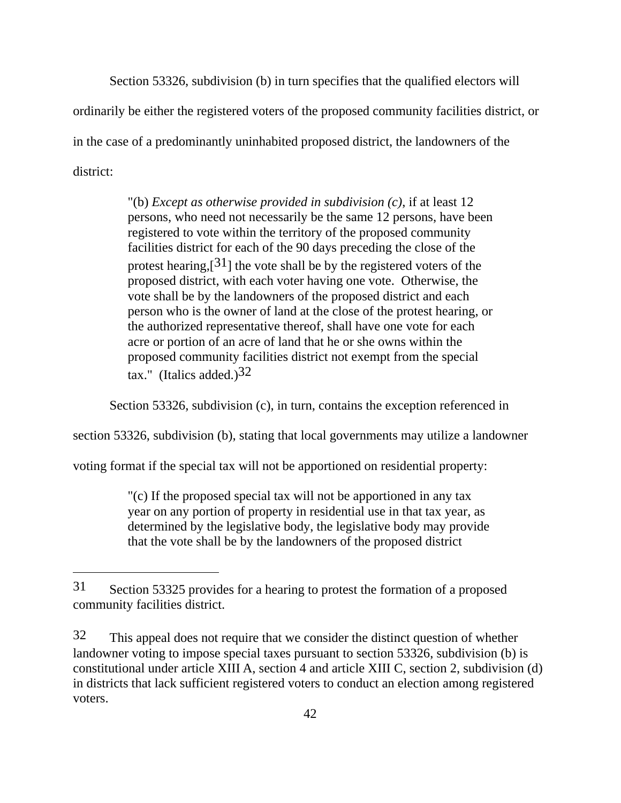Section 53326, subdivision (b) in turn specifies that the qualified electors will ordinarily be either the registered voters of the proposed community facilities district, or in the case of a predominantly uninhabited proposed district, the landowners of the district:

> "(b) *Except as otherwise provided in subdivision (c)*, if at least 12 persons, who need not necessarily be the same 12 persons, have been registered to vote within the territory of the proposed community facilities district for each of the 90 days preceding the close of the protest hearing,[31] the vote shall be by the registered voters of the proposed district, with each voter having one vote. Otherwise, the vote shall be by the landowners of the proposed district and each person who is the owner of land at the close of the protest hearing, or the authorized representative thereof, shall have one vote for each acre or portion of an acre of land that he or she owns within the proposed community facilities district not exempt from the special tax." (Italics added.) $32$

Section 53326, subdivision (c), in turn, contains the exception referenced in

section 53326, subdivision (b), stating that local governments may utilize a landowner

voting format if the special tax will not be apportioned on residential property:

"(c) If the proposed special tax will not be apportioned in any tax year on any portion of property in residential use in that tax year, as determined by the legislative body, the legislative body may provide that the vote shall be by the landowners of the proposed district

<sup>31</sup> Section 53325 provides for a hearing to protest the formation of a proposed community facilities district.

<sup>32</sup> This appeal does not require that we consider the distinct question of whether landowner voting to impose special taxes pursuant to section 53326, subdivision (b) is constitutional under article XIII A, section 4 and article XIII C, section 2, subdivision (d) in districts that lack sufficient registered voters to conduct an election among registered voters.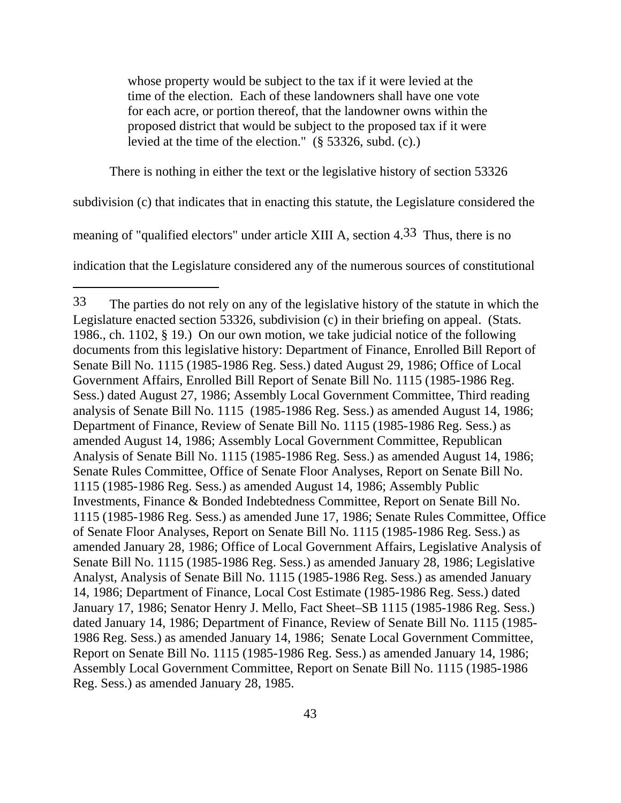whose property would be subject to the tax if it were levied at the time of the election. Each of these landowners shall have one vote for each acre, or portion thereof, that the landowner owns within the proposed district that would be subject to the proposed tax if it were levied at the time of the election." (§ 53326, subd. (c).)

There is nothing in either the text or the legislative history of section 53326

subdivision (c) that indicates that in enacting this statute, the Legislature considered the

meaning of "qualified electors" under article XIII A, section 4.33 Thus, there is no

indication that the Legislature considered any of the numerous sources of constitutional

<sup>33</sup> The parties do not rely on any of the legislative history of the statute in which the Legislature enacted section 53326, subdivision (c) in their briefing on appeal. (Stats. 1986., ch. 1102, § 19.) On our own motion, we take judicial notice of the following documents from this legislative history: Department of Finance, Enrolled Bill Report of Senate Bill No. 1115 (1985-1986 Reg. Sess.) dated August 29, 1986; Office of Local Government Affairs, Enrolled Bill Report of Senate Bill No. 1115 (1985-1986 Reg. Sess.) dated August 27, 1986; Assembly Local Government Committee, Third reading analysis of Senate Bill No. 1115 (1985-1986 Reg. Sess.) as amended August 14, 1986; Department of Finance, Review of Senate Bill No. 1115 (1985-1986 Reg. Sess.) as amended August 14, 1986; Assembly Local Government Committee, Republican Analysis of Senate Bill No. 1115 (1985-1986 Reg. Sess.) as amended August 14, 1986; Senate Rules Committee, Office of Senate Floor Analyses, Report on Senate Bill No. 1115 (1985-1986 Reg. Sess.) as amended August 14, 1986; Assembly Public Investments, Finance & Bonded Indebtedness Committee, Report on Senate Bill No. 1115 (1985-1986 Reg. Sess.) as amended June 17, 1986; Senate Rules Committee, Office of Senate Floor Analyses, Report on Senate Bill No. 1115 (1985-1986 Reg. Sess.) as amended January 28, 1986; Office of Local Government Affairs, Legislative Analysis of Senate Bill No. 1115 (1985-1986 Reg. Sess.) as amended January 28, 1986; Legislative Analyst, Analysis of Senate Bill No. 1115 (1985-1986 Reg. Sess.) as amended January 14, 1986; Department of Finance, Local Cost Estimate (1985-1986 Reg. Sess.) dated January 17, 1986; Senator Henry J. Mello, Fact Sheet–SB 1115 (1985-1986 Reg. Sess.) dated January 14, 1986; Department of Finance, Review of Senate Bill No. 1115 (1985- 1986 Reg. Sess.) as amended January 14, 1986; Senate Local Government Committee, Report on Senate Bill No. 1115 (1985-1986 Reg. Sess.) as amended January 14, 1986; Assembly Local Government Committee, Report on Senate Bill No. 1115 (1985-1986 Reg. Sess.) as amended January 28, 1985.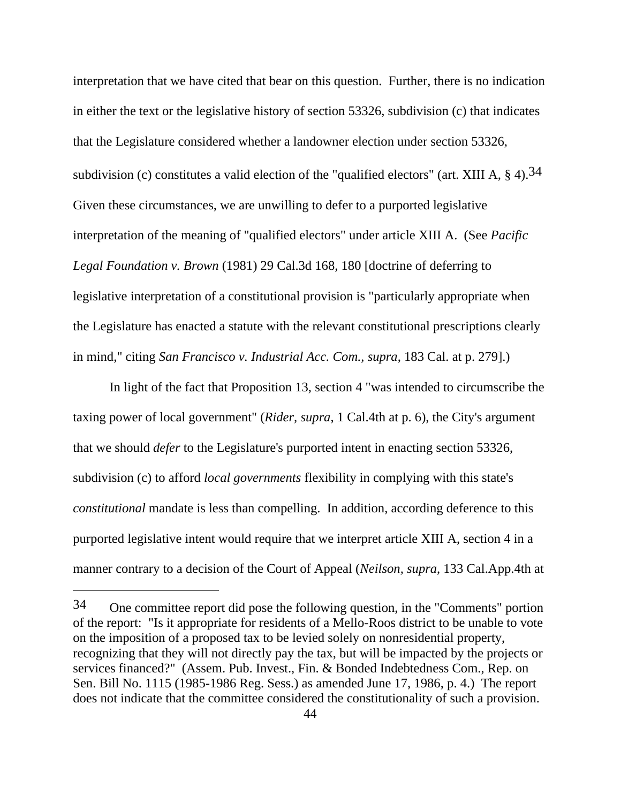interpretation that we have cited that bear on this question. Further, there is no indication in either the text or the legislative history of section 53326, subdivision (c) that indicates that the Legislature considered whether a landowner election under section 53326, subdivision (c) constitutes a valid election of the "qualified electors" (art. XIII A,  $\S$  4).<sup>34</sup> Given these circumstances, we are unwilling to defer to a purported legislative interpretation of the meaning of "qualified electors" under article XIII A. (See *Pacific Legal Foundation v. Brown* (1981) 29 Cal.3d 168, 180 [doctrine of deferring to legislative interpretation of a constitutional provision is "particularly appropriate when the Legislature has enacted a statute with the relevant constitutional prescriptions clearly in mind," citing *San Francisco v. Industrial Acc. Com., supra*, 183 Cal. at p. 279].)

 In light of the fact that Proposition 13, section 4 "was intended to circumscribe the taxing power of local government" (*Rider, supra*, 1 Cal.4th at p. 6), the City's argument that we should *defer* to the Legislature's purported intent in enacting section 53326, subdivision (c) to afford *local governments* flexibility in complying with this state's *constitutional* mandate is less than compelling. In addition, according deference to this purported legislative intent would require that we interpret article XIII A, section 4 in a manner contrary to a decision of the Court of Appeal (*Neilson, supra*, 133 Cal.App.4th at

<sup>34</sup> One committee report did pose the following question, in the "Comments" portion of the report: "Is it appropriate for residents of a Mello-Roos district to be unable to vote on the imposition of a proposed tax to be levied solely on nonresidential property, recognizing that they will not directly pay the tax, but will be impacted by the projects or services financed?" (Assem. Pub. Invest., Fin. & Bonded Indebtedness Com., Rep. on Sen. Bill No. 1115 (1985-1986 Reg. Sess.) as amended June 17, 1986, p. 4.) The report does not indicate that the committee considered the constitutionality of such a provision.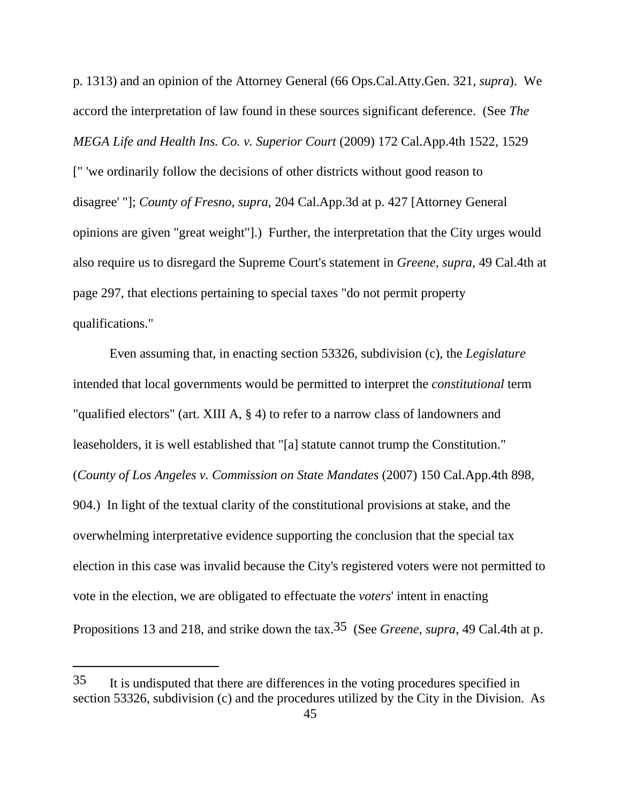p. 1313) and an opinion of the Attorney General (66 Ops.Cal.Atty.Gen. 321, *supra*). We accord the interpretation of law found in these sources significant deference. (See *The MEGA Life and Health Ins. Co. v. Superior Court* (2009) 172 Cal.App.4th 1522, 1529 [" 'we ordinarily follow the decisions of other districts without good reason to disagree' "]; *County of Fresno, supra,* 204 Cal.App.3d at p. 427 [Attorney General opinions are given "great weight"].) Further, the interpretation that the City urges would also require us to disregard the Supreme Court's statement in *Greene, supra,* 49 Cal.4th at page 297, that elections pertaining to special taxes "do not permit property qualifications."

 Even assuming that, in enacting section 53326, subdivision (c), the *Legislature* intended that local governments would be permitted to interpret the *constitutional* term "qualified electors" (art. XIII A, § 4) to refer to a narrow class of landowners and leaseholders, it is well established that "[a] statute cannot trump the Constitution." (*County of Los Angeles v. Commission on State Mandates* (2007) 150 Cal.App.4th 898, 904.) In light of the textual clarity of the constitutional provisions at stake, and the overwhelming interpretative evidence supporting the conclusion that the special tax election in this case was invalid because the City's registered voters were not permitted to vote in the election, we are obligated to effectuate the *voters*' intent in enacting Propositions 13 and 218, and strike down the tax.35 (See *Greene*, *supra*, 49 Cal.4th at p.

<sup>35</sup> It is undisputed that there are differences in the voting procedures specified in section 53326, subdivision (c) and the procedures utilized by the City in the Division. As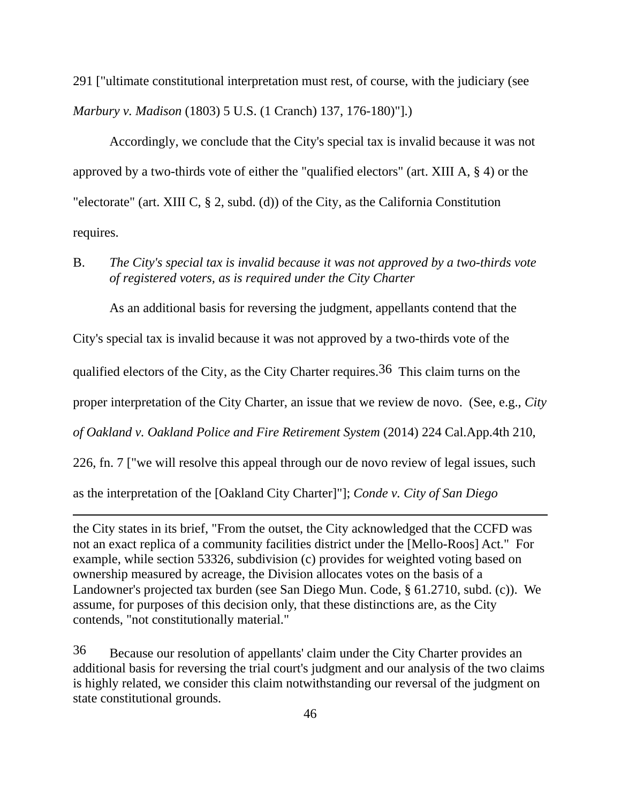291 ["ultimate constitutional interpretation must rest, of course, with the judiciary (see *Marbury v. Madison* (1803) 5 U.S. (1 Cranch) 137, 176-180)"].)

 Accordingly, we conclude that the City's special tax is invalid because it was not approved by a two-thirds vote of either the "qualified electors" (art. XIII A, § 4) or the "electorate" (art. XIII C, § 2, subd. (d)) of the City, as the California Constitution requires.

B. *The City's special tax is invalid because it was not approved by a two-thirds vote of registered voters, as is required under the City Charter* 

As an additional basis for reversing the judgment, appellants contend that the City's special tax is invalid because it was not approved by a two-thirds vote of the qualified electors of the City, as the City Charter requires.<sup>36</sup> This claim turns on the proper interpretation of the City Charter, an issue that we review de novo. (See, e.g., *City of Oakland v. Oakland Police and Fire Retirement System* (2014) 224 Cal.App.4th 210, 226, fn. 7 ["we will resolve this appeal through our de novo review of legal issues, such as the interpretation of the [Oakland City Charter]"]; *Conde v. City of San Diego*

the City states in its brief, "From the outset, the City acknowledged that the CCFD was not an exact replica of a community facilities district under the [Mello-Roos] Act." For example, while section 53326, subdivision (c) provides for weighted voting based on ownership measured by acreage, the Division allocates votes on the basis of a Landowner's projected tax burden (see San Diego Mun. Code, § 61.2710, subd. (c)). We assume, for purposes of this decision only, that these distinctions are, as the City contends, "not constitutionally material."

 $\overline{a}$ 

36 Because our resolution of appellants' claim under the City Charter provides an additional basis for reversing the trial court's judgment and our analysis of the two claims is highly related, we consider this claim notwithstanding our reversal of the judgment on state constitutional grounds.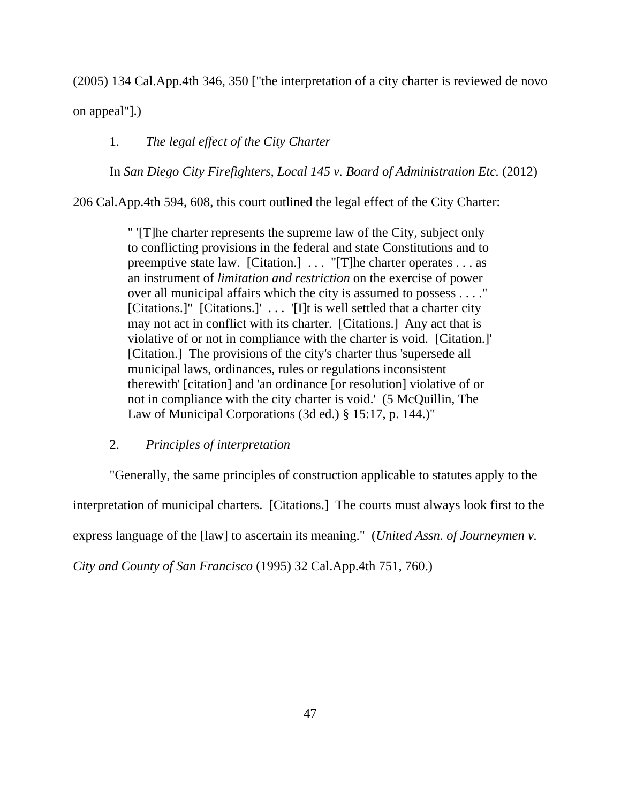(2005) 134 Cal.App.4th 346, 350 ["the interpretation of a city charter is reviewed de novo

on appeal"].)

# 1. *The legal effect of the City Charter*

In *San Diego City Firefighters, Local 145 v. Board of Administration Etc.* (2012)

206 Cal.App.4th 594, 608, this court outlined the legal effect of the City Charter:

" '[T]he charter represents the supreme law of the City, subject only to conflicting provisions in the federal and state Constitutions and to preemptive state law. [Citation.] . . . "[T]he charter operates . . . as an instrument of *limitation and restriction* on the exercise of power over all municipal affairs which the city is assumed to possess . . . ." [Citations.]" [Citations.]' . . . '[I]t is well settled that a charter city may not act in conflict with its charter. [Citations.] Any act that is violative of or not in compliance with the charter is void. [Citation.]' [Citation.] The provisions of the city's charter thus 'supersede all municipal laws, ordinances, rules or regulations inconsistent therewith' [citation] and 'an ordinance [or resolution] violative of or not in compliance with the city charter is void.' (5 McQuillin, The Law of Municipal Corporations (3d ed.) § 15:17, p. 144.)"

## 2. *Principles of interpretation*

"Generally, the same principles of construction applicable to statutes apply to the interpretation of municipal charters. [Citations.] The courts must always look first to the express language of the [law] to ascertain its meaning." (*United Assn. of Journeymen v.* 

*City and County of San Francisco* (1995) 32 Cal.App.4th 751, 760.)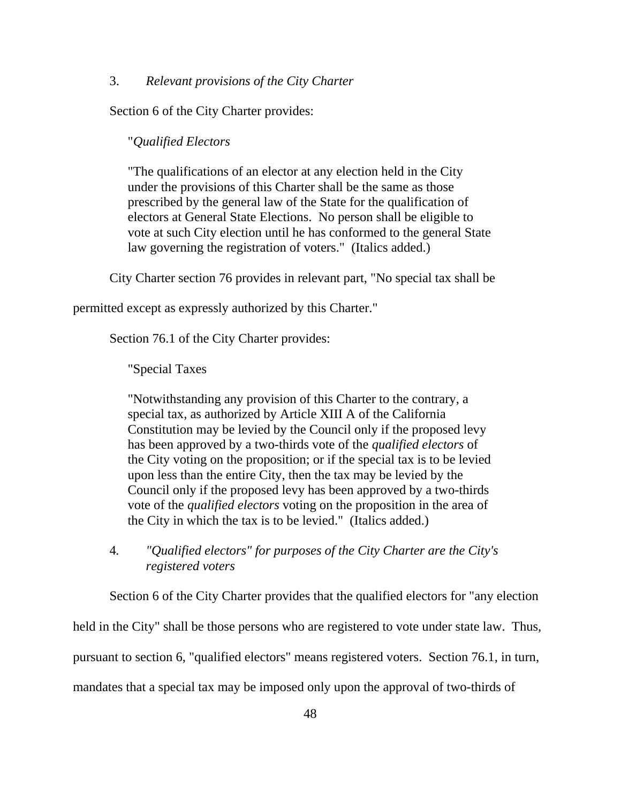#### 3. *Relevant provisions of the City Charter*

Section 6 of the City Charter provides:

#### "*Qualified Electors*

"The qualifications of an elector at any election held in the City under the provisions of this Charter shall be the same as those prescribed by the general law of the State for the qualification of electors at General State Elections. No person shall be eligible to vote at such City election until he has conformed to the general State law governing the registration of voters." (Italics added.)

City Charter section 76 provides in relevant part, "No special tax shall be

permitted except as expressly authorized by this Charter."

Section 76.1 of the City Charter provides:

"Special Taxes

"Notwithstanding any provision of this Charter to the contrary, a special tax, as authorized by Article XIII A of the California Constitution may be levied by the Council only if the proposed levy has been approved by a two-thirds vote of the *qualified electors* of the City voting on the proposition; or if the special tax is to be levied upon less than the entire City, then the tax may be levied by the Council only if the proposed levy has been approved by a two-thirds vote of the *qualified electors* voting on the proposition in the area of the City in which the tax is to be levied." (Italics added.)

 4*. "Qualified electors" for purposes of the City Charter are the City's registered voters* 

Section 6 of the City Charter provides that the qualified electors for "any election

held in the City" shall be those persons who are registered to vote under state law. Thus,

pursuant to section 6, "qualified electors" means registered voters. Section 76.1, in turn,

mandates that a special tax may be imposed only upon the approval of two-thirds of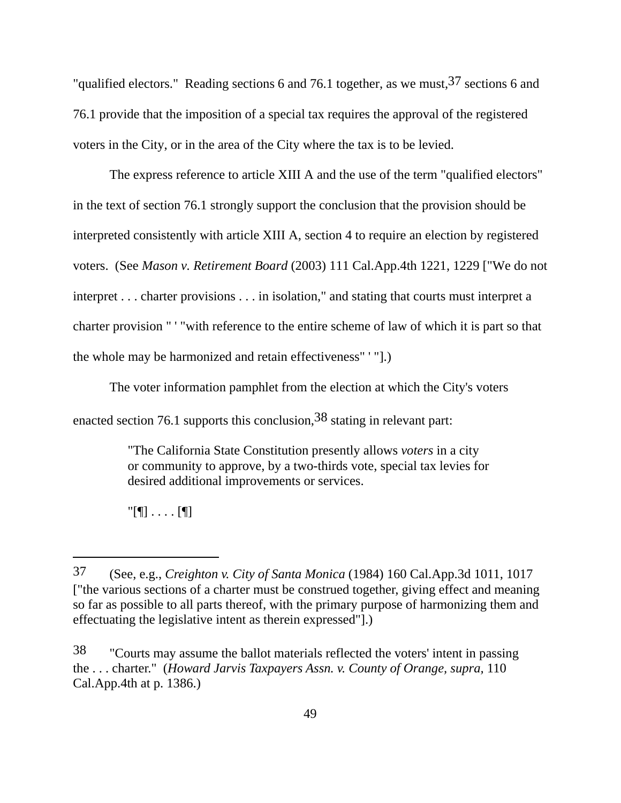"qualified electors." Reading sections 6 and 76.1 together, as we must,  $37$  sections 6 and 76.1 provide that the imposition of a special tax requires the approval of the registered voters in the City, or in the area of the City where the tax is to be levied.

 The express reference to article XIII A and the use of the term "qualified electors" in the text of section 76.1 strongly support the conclusion that the provision should be interpreted consistently with article XIII A, section 4 to require an election by registered voters. (See *Mason v. Retirement Board* (2003) 111 Cal.App.4th 1221, 1229 ["We do not interpret . . . charter provisions . . . in isolation," and stating that courts must interpret a charter provision " ' "with reference to the entire scheme of law of which it is part so that the whole may be harmonized and retain effectiveness" ' "].)

The voter information pamphlet from the election at which the City's voters

enacted section 76.1 supports this conclusion,38 stating in relevant part:

"The California State Constitution presently allows *voters* in a city or community to approve, by a two-thirds vote, special tax levies for desired additional improvements or services.

"[¶] . . . . [¶]

<sup>37 (</sup>See, e.g., *Creighton v. City of Santa Monica* (1984) 160 Cal.App.3d 1011, 1017 ["the various sections of a charter must be construed together, giving effect and meaning so far as possible to all parts thereof, with the primary purpose of harmonizing them and effectuating the legislative intent as therein expressed"].)

<sup>38 &</sup>quot;Courts may assume the ballot materials reflected the voters' intent in passing the . . . charter." (*Howard Jarvis Taxpayers Assn. v. County of Orange, supra,* 110 Cal.App.4th at p. 1386.)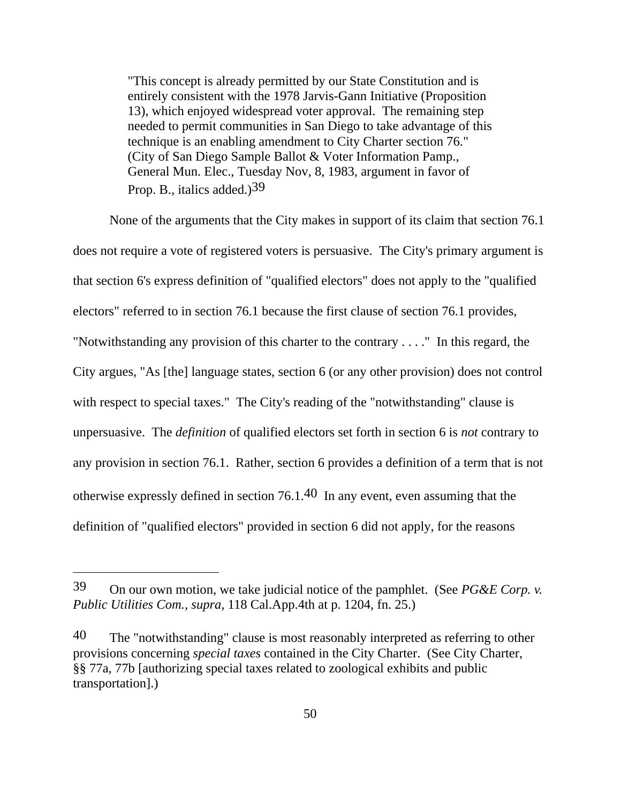"This concept is already permitted by our State Constitution and is entirely consistent with the 1978 Jarvis-Gann Initiative (Proposition 13), which enjoyed widespread voter approval. The remaining step needed to permit communities in San Diego to take advantage of this technique is an enabling amendment to City Charter section 76." (City of San Diego Sample Ballot & Voter Information Pamp., General Mun. Elec., Tuesday Nov, 8, 1983, argument in favor of Prop. B., italics added.)<sup>39</sup>

 None of the arguments that the City makes in support of its claim that section 76.1 does not require a vote of registered voters is persuasive. The City's primary argument is that section 6's express definition of "qualified electors" does not apply to the "qualified electors" referred to in section 76.1 because the first clause of section 76.1 provides, "Notwithstanding any provision of this charter to the contrary . . . ." In this regard, the City argues, "As [the] language states, section 6 (or any other provision) does not control with respect to special taxes." The City's reading of the "notwithstanding" clause is unpersuasive. The *definition* of qualified electors set forth in section 6 is *not* contrary to any provision in section 76.1. Rather, section 6 provides a definition of a term that is not otherwise expressly defined in section 76.1.40 In any event, even assuming that the definition of "qualified electors" provided in section 6 did not apply, for the reasons

<sup>39</sup> On our own motion, we take judicial notice of the pamphlet. (See *PG&E Corp. v. Public Utilities Com., supra,* 118 Cal.App.4th at p. 1204, fn. 25.)

<sup>40</sup> The "notwithstanding" clause is most reasonably interpreted as referring to other provisions concerning *special taxes* contained in the City Charter. (See City Charter, §§ 77a, 77b [authorizing special taxes related to zoological exhibits and public transportation].)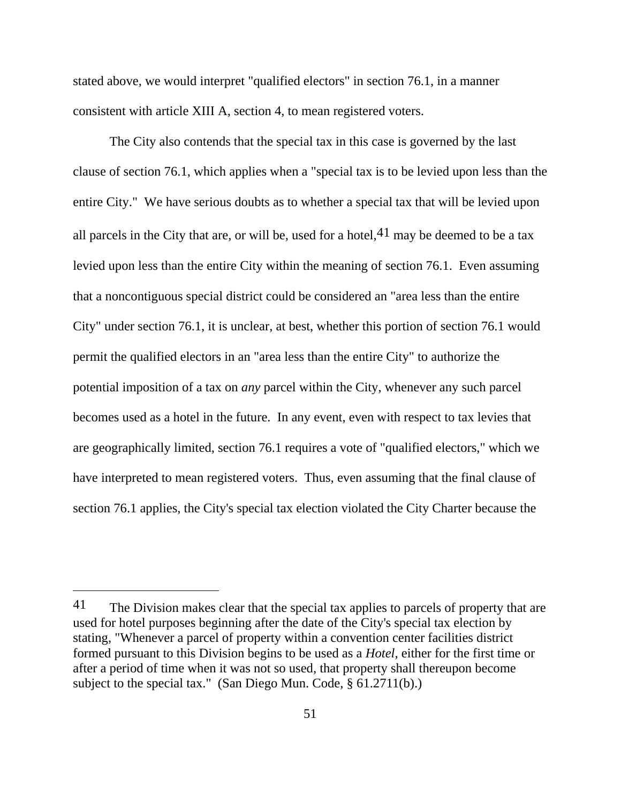stated above, we would interpret "qualified electors" in section 76.1, in a manner consistent with article XIII A, section 4, to mean registered voters.

The City also contends that the special tax in this case is governed by the last clause of section 76.1, which applies when a "special tax is to be levied upon less than the entire City." We have serious doubts as to whether a special tax that will be levied upon all parcels in the City that are, or will be, used for a hotel,  $4<sup>1</sup>$  may be deemed to be a tax levied upon less than the entire City within the meaning of section 76.1. Even assuming that a noncontiguous special district could be considered an "area less than the entire City" under section 76.1, it is unclear, at best, whether this portion of section 76.1 would permit the qualified electors in an "area less than the entire City" to authorize the potential imposition of a tax on *any* parcel within the City, whenever any such parcel becomes used as a hotel in the future. In any event, even with respect to tax levies that are geographically limited, section 76.1 requires a vote of "qualified electors," which we have interpreted to mean registered voters. Thus, even assuming that the final clause of section 76.1 applies, the City's special tax election violated the City Charter because the

<sup>&</sup>lt;sup>41</sup> The Division makes clear that the special tax applies to parcels of property that are used for hotel purposes beginning after the date of the City's special tax election by stating, "Whenever a parcel of property within a convention center facilities district formed pursuant to this Division begins to be used as a *Hotel,* either for the first time or after a period of time when it was not so used, that property shall thereupon become subject to the special tax." (San Diego Mun. Code, § 61.2711(b).)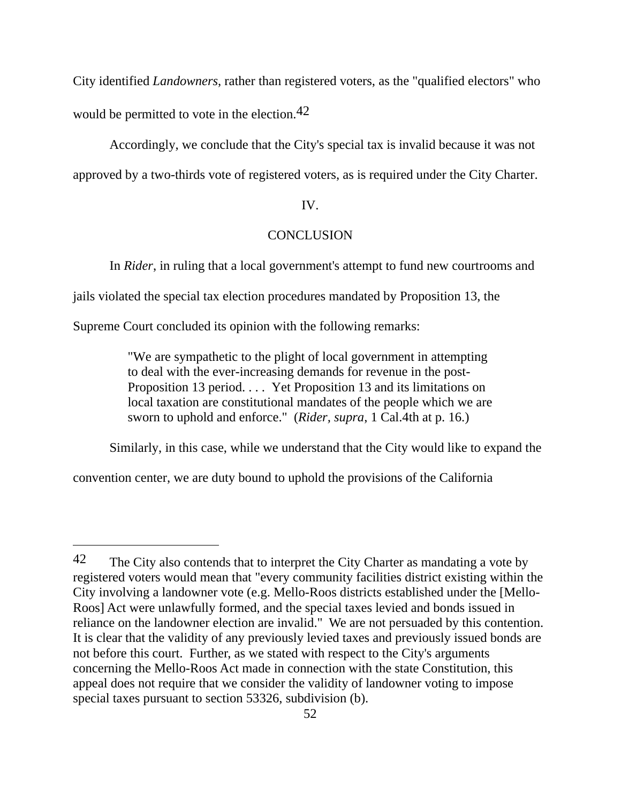City identified *Landowners*, rather than registered voters, as the "qualified electors" who would be permitted to vote in the election.<sup>42</sup>

Accordingly, we conclude that the City's special tax is invalid because it was not approved by a two-thirds vote of registered voters, as is required under the City Charter.

## IV.

## **CONCLUSION**

In *Rider*, in ruling that a local government's attempt to fund new courtrooms and

jails violated the special tax election procedures mandated by Proposition 13, the

Supreme Court concluded its opinion with the following remarks:

 $\overline{a}$ 

"We are sympathetic to the plight of local government in attempting to deal with the ever-increasing demands for revenue in the post-Proposition 13 period. . . . Yet Proposition 13 and its limitations on local taxation are constitutional mandates of the people which we are sworn to uphold and enforce." (*Rider, supra*, 1 Cal.4th at p. 16.)

Similarly, in this case, while we understand that the City would like to expand the

convention center, we are duty bound to uphold the provisions of the California

<sup>&</sup>lt;sup>42</sup> The City also contends that to interpret the City Charter as mandating a vote by registered voters would mean that "every community facilities district existing within the City involving a landowner vote (e.g. Mello-Roos districts established under the [Mello-Roos] Act were unlawfully formed, and the special taxes levied and bonds issued in reliance on the landowner election are invalid." We are not persuaded by this contention. It is clear that the validity of any previously levied taxes and previously issued bonds are not before this court. Further, as we stated with respect to the City's arguments concerning the Mello-Roos Act made in connection with the state Constitution, this appeal does not require that we consider the validity of landowner voting to impose special taxes pursuant to section 53326, subdivision (b).